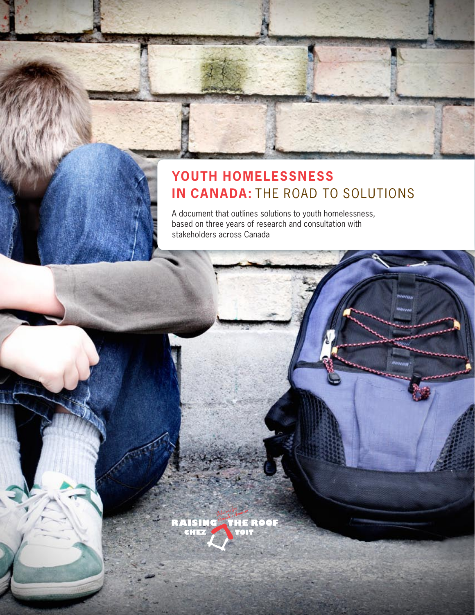# **YOUTH HOMELESSNESS IN CANADA:** THE ROAD TO SOLUTIONS

A document that outlines solutions to youth homelessness, based on three years of research and consultation with stakeholders across Canada

RAISING THE ROOF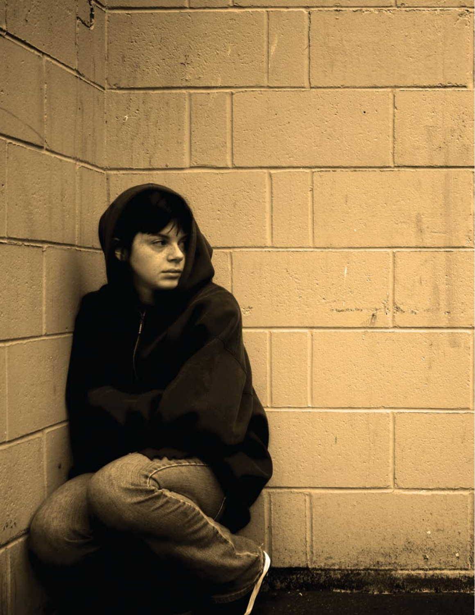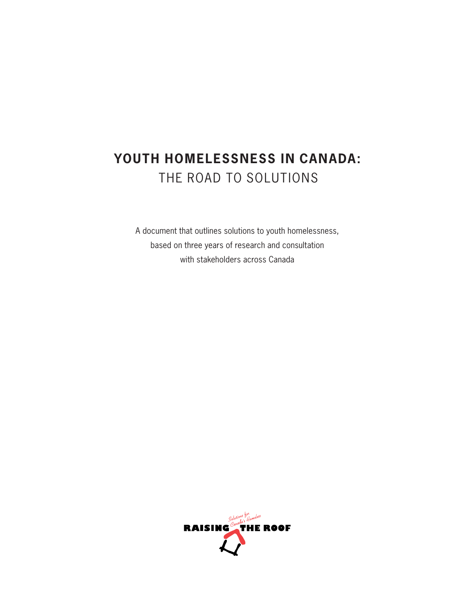# **YOUTH HOMELESSNESS IN CANADA:** THE ROAD TO SOLUTIONS

A document that outlines solutions to youth homelessness, based on three years of research and consultation with stakeholders across Canada

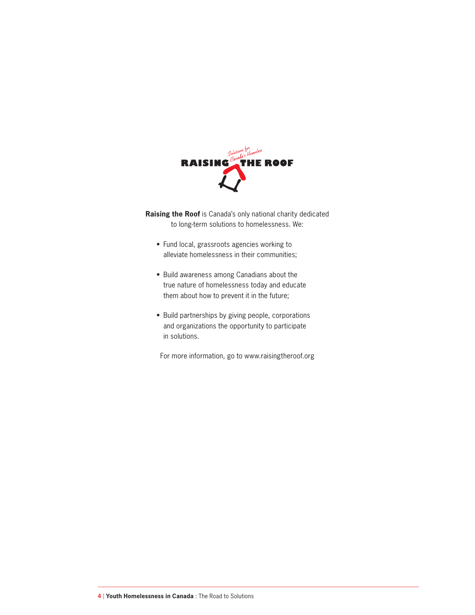

**Raising the Roof** is Canada's only national charity dedicated to long-term solutions to homelessness. We:

- • Fund local, grassroots agencies working to alleviate homelessness in their communities;
- • Build awareness among Canadians about the true nature of homelessness today and educate them about how to prevent it in the future;
- Build partnerships by giving people, corporations and organizations the opportunity to participate in solutions.

For more information, go to www.raisingtheroof.org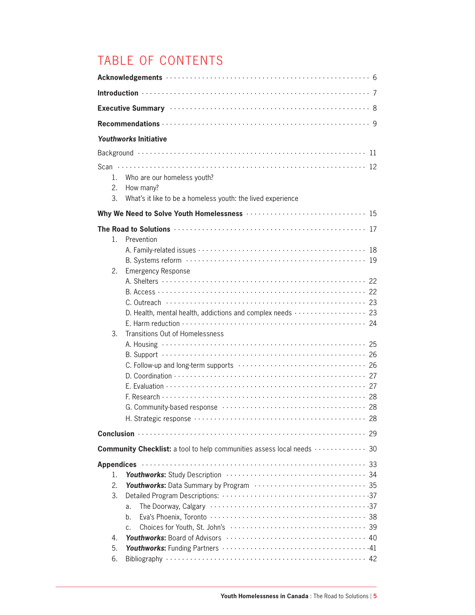# TABLE OF CONTENTS

|                | Executive Summary (and the contract of the contract of the contract of the state of the state of the state of the state of the state of the state of the state of the state of the state of the state of the state of the stat |  |  |  |  |  |  |  |
|----------------|--------------------------------------------------------------------------------------------------------------------------------------------------------------------------------------------------------------------------------|--|--|--|--|--|--|--|
|                |                                                                                                                                                                                                                                |  |  |  |  |  |  |  |
|                | <b>Youthworks Initiative</b>                                                                                                                                                                                                   |  |  |  |  |  |  |  |
|                |                                                                                                                                                                                                                                |  |  |  |  |  |  |  |
| 2.<br>3.       | 1. Who are our homeless youth?<br>How many?<br>What's it like to be a homeless youth: the lived experience                                                                                                                     |  |  |  |  |  |  |  |
|                |                                                                                                                                                                                                                                |  |  |  |  |  |  |  |
| 1.             | Prevention                                                                                                                                                                                                                     |  |  |  |  |  |  |  |
| 2.             | <b>Emergency Response</b>                                                                                                                                                                                                      |  |  |  |  |  |  |  |
|                | D. Health, mental health, addictions and complex needs  23                                                                                                                                                                     |  |  |  |  |  |  |  |
| 3.             | Transitions Out of Homelessness                                                                                                                                                                                                |  |  |  |  |  |  |  |
|                |                                                                                                                                                                                                                                |  |  |  |  |  |  |  |
|                | Community Checklist: a tool to help communities assess local needs  30                                                                                                                                                         |  |  |  |  |  |  |  |
| 1.<br>2.<br>3. | a.<br>b.<br>C.                                                                                                                                                                                                                 |  |  |  |  |  |  |  |
| 4.             |                                                                                                                                                                                                                                |  |  |  |  |  |  |  |
| 5.<br>6.       |                                                                                                                                                                                                                                |  |  |  |  |  |  |  |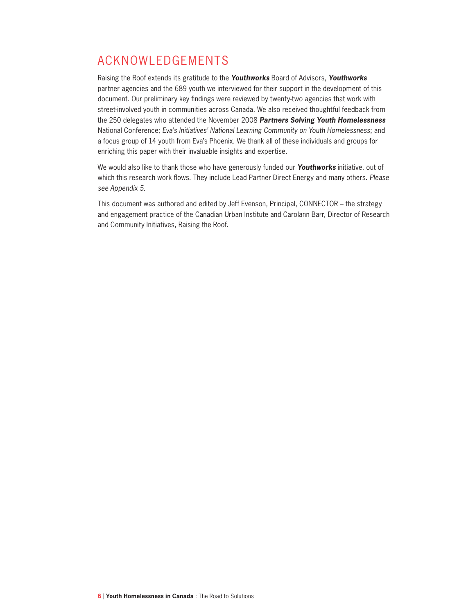# Acknowledgements

Raising the Roof extends its gratitude to the *Youthworks* Board of Advisors, *Youthworks* partner agencies and the 689 youth we interviewed for their support in the development of this document. Our preliminary key findings were reviewed by twenty-two agencies that work with street-involved youth in communities across Canada. We also received thoughtful feedback from the 250 delegates who attended the November 2008 *Partners Solving Youth Homelessness*  National Conference; *Eva's Initiatives' National Learning Community on Youth Homelessness*; and a focus group of 14 youth from Eva's Phoenix. We thank all of these individuals and groups for enriching this paper with their invaluable insights and expertise.

We would also like to thank those who have generously funded our *Youthworks* initiative, out of which this research work flows. They include Lead Partner Direct Energy and many others. *Please see Appendix 5.*

This document was authored and edited by Jeff Evenson, Principal, CONNECTOR – the strategy and engagement practice of the Canadian Urban Institute and Carolann Barr, Director of Research and Community Initiatives, Raising the Roof.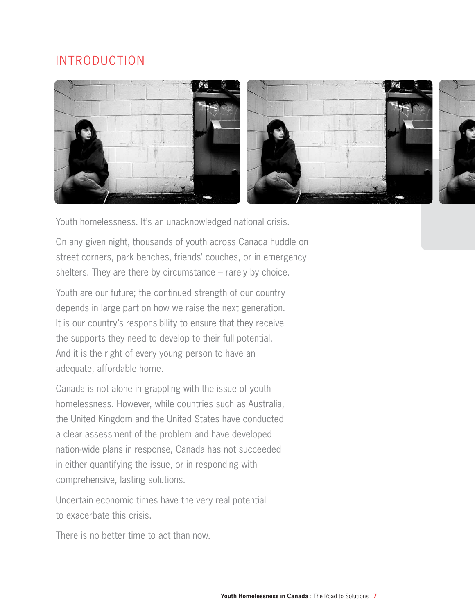# Introduction



Youth homelessness. It's an unacknowledged national crisis.

On any given night, thousands of youth across Canada huddle on street corners, park benches, friends' couches, or in emergency shelters. They are there by circumstance – rarely by choice.

Youth are our future; the continued strength of our country depends in large part on how we raise the next generation. It is our country's responsibility to ensure that they receive the supports they need to develop to their full potential. And it is the right of every young person to have an adequate, affordable home.

Canada is not alone in grappling with the issue of youth homelessness. However, while countries such as Australia, the United Kingdom and the United States have conducted a clear assessment of the problem and have developed nation-wide plans in response, Canada has not succeeded in either quantifying the issue, or in responding with comprehensive, lasting solutions.

Uncertain economic times have the very real potential to exacerbate this crisis.

There is no better time to act than now.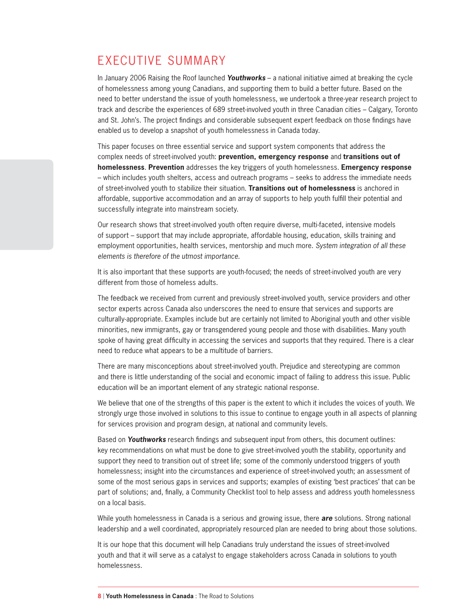### Executive Summary

In January 2006 Raising the Roof launched *Youthworks* – a national initiative aimed at breaking the cycle of homelessness among young Canadians, and supporting them to build a better future. Based on the need to better understand the issue of youth homelessness, we undertook a three-year research project to track and describe the experiences of 689 street-involved youth in three Canadian cities – Calgary, Toronto and St. John's. The project findings and considerable subsequent expert feedback on those findings have enabled us to develop a snapshot of youth homelessness in Canada today.

This paper focuses on three essential service and support system components that address the complex needs of street-involved youth: **prevention, emergency response** and **transitions out of homelessness**. **Prevention** addresses the key triggers of youth homelessness. **Emergency response** – which includes youth shelters, access and outreach programs – seeks to address the immediate needs of street-involved youth to stabilize their situation. **Transitions out of homelessness** is anchored in affordable, supportive accommodation and an array of supports to help youth fulfill their potential and successfully integrate into mainstream society.

Our research shows that street-involved youth often require diverse, multi-faceted, intensive models of support – support that may include appropriate, affordable housing, education, skills training and employment opportunities, health services, mentorship and much more. *System integration of all these elements is therefore of the utmost importance.*

It is also important that these supports are youth-focused; the needs of street-involved youth are very different from those of homeless adults.

The feedback we received from current and previously street-involved youth, service providers and other sector experts across Canada also underscores the need to ensure that services and supports are culturally-appropriate. Examples include but are certainly not limited to Aboriginal youth and other visible minorities, new immigrants, gay or transgendered young people and those with disabilities. Many youth spoke of having great difficulty in accessing the services and supports that they required. There is a clear need to reduce what appears to be a multitude of barriers.

There are many misconceptions about street-involved youth. Prejudice and stereotyping are common and there is little understanding of the social and economic impact of failing to address this issue. Public education will be an important element of any strategic national response.

We believe that one of the strengths of this paper is the extent to which it includes the voices of youth. We strongly urge those involved in solutions to this issue to continue to engage youth in all aspects of planning for services provision and program design, at national and community levels.

Based on *Youthworks* research findings and subsequent input from others, this document outlines: key recommendations on what must be done to give street-involved youth the stability, opportunity and support they need to transition out of street life; some of the commonly understood triggers of youth homelessness; insight into the circumstances and experience of street-involved youth; an assessment of some of the most serious gaps in services and supports; examples of existing 'best practices' that can be part of solutions; and, finally, a Community Checklist tool to help assess and address youth homelessness on a local basis.

While youth homelessness in Canada is a serious and growing issue, there *are* solutions. Strong national leadership and a well coordinated, appropriately resourced plan are needed to bring about those solutions.

It is our hope that this document will help Canadians truly understand the issues of street-involved youth and that it will serve as a catalyst to engage stakeholders across Canada in solutions to youth homelessness.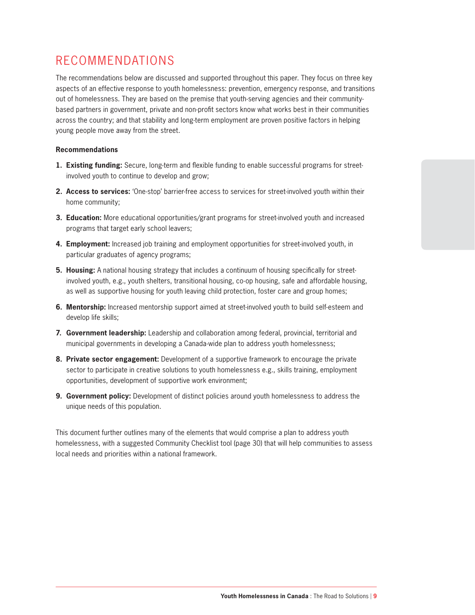# Recommendations

The recommendations below are discussed and supported throughout this paper. They focus on three key aspects of an effective response to youth homelessness: prevention, emergency response, and transitions out of homelessness. They are based on the premise that youth-serving agencies and their communitybased partners in government, private and non-profit sectors know what works best in their communities across the country; and that stability and long-term employment are proven positive factors in helping young people move away from the street.

#### **Recommendations**

- **1. Existing funding:** Secure, long-term and flexible funding to enable successful programs for streetinvolved youth to continue to develop and grow;
- **2. Access to services:** 'One-stop' barrier-free access to services for street-involved youth within their home community;
- **3. Education:** More educational opportunities/grant programs for street-involved youth and increased programs that target early school leavers;
- **4. Employment:** Increased job training and employment opportunities for street-involved youth, in particular graduates of agency programs;
- **5. Housing:** A national housing strategy that includes a continuum of housing specifically for streetinvolved youth, e.g., youth shelters, transitional housing, co-op housing, safe and affordable housing, as well as supportive housing for youth leaving child protection, foster care and group homes;
- **6. Mentorship:** Increased mentorship support aimed at street-involved youth to build self-esteem and develop life skills;
- **7. Government leadership:** Leadership and collaboration among federal, provincial, territorial and municipal governments in developing a Canada-wide plan to address youth homelessness;
- **8. Private sector engagement:** Development of a supportive framework to encourage the private sector to participate in creative solutions to youth homelessness e.g., skills training, employment opportunities, development of supportive work environment;
- **9. Government policy:** Development of distinct policies around youth homelessness to address the unique needs of this population.

This document further outlines many of the elements that would comprise a plan to address youth homelessness, with a suggested Community Checklist tool (page 30) that will help communities to assess local needs and priorities within a national framework.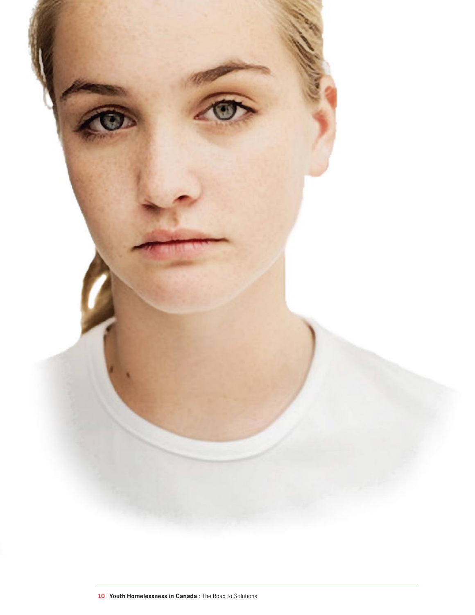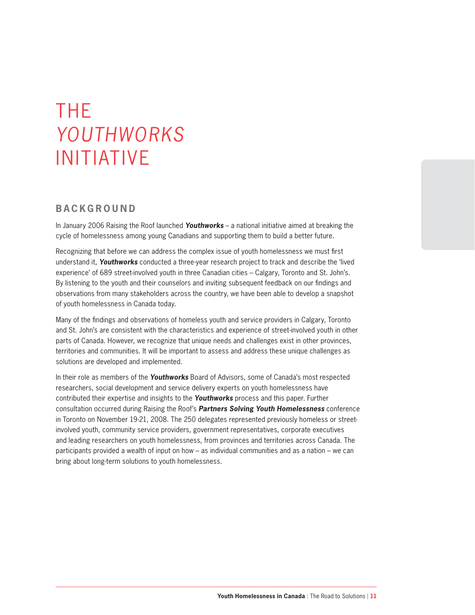# **THE** *Youthworks* Initiative

#### **B ac kground**

In January 2006 Raising the Roof launched *Youthworks* – a national initiative aimed at breaking the cycle of homelessness among young Canadians and supporting them to build a better future.

Recognizing that before we can address the complex issue of youth homelessness we must first understand it, *Youthworks* conducted a three-year research project to track and describe the 'lived experience' of 689 street-involved youth in three Canadian cities – Calgary, Toronto and St. John's. By listening to the youth and their counselors and inviting subsequent feedback on our findings and observations from many stakeholders across the country, we have been able to develop a snapshot of youth homelessness in Canada today.

Many of the findings and observations of homeless youth and service providers in Calgary, Toronto and St. John's are consistent with the characteristics and experience of street-involved youth in other parts of Canada. However, we recognize that unique needs and challenges exist in other provinces, territories and communities. It will be important to assess and address these unique challenges as solutions are developed and implemented.

In their role as members of the *Youthworks* Board of Advisors, some of Canada's most respected researchers, social development and service delivery experts on youth homelessness have contributed their expertise and insights to the *Youthworks* process and this paper. Further consultation occurred during Raising the Roof's *Partners Solving Youth Homelessness* conference in Toronto on November 19-21, 2008. The 250 delegates represented previously homeless or streetinvolved youth, community service providers, government representatives, corporate executives and leading researchers on youth homelessness, from provinces and territories across Canada. The participants provided a wealth of input on how – as individual communities and as a nation – we can bring about long-term solutions to youth homelessness.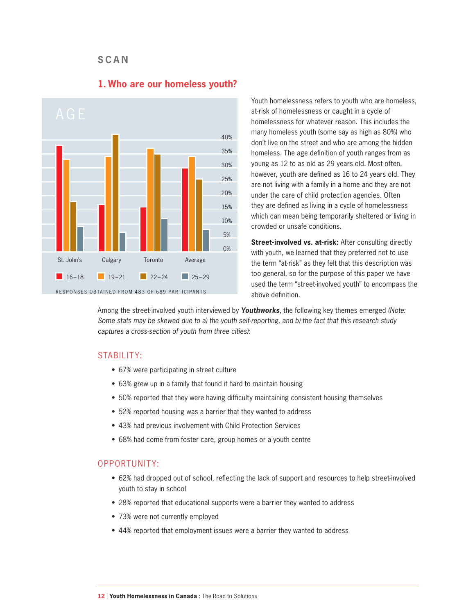#### **S can**

## **1. Who are our homeless youth?**



Youth homelessness refers to youth who are homeless, at-risk of homelessness or caught in a cycle of homelessness for whatever reason. This includes the many homeless youth (some say as high as 80%) who don't live on the street and who are among the hidden homeless. The age definition of youth ranges from as young as 12 to as old as 29 years old. Most often, however, youth are defined as 16 to 24 years old. They are not living with a family in a home and they are not under the care of child protection agencies. Often they are defined as living in a cycle of homelessness which can mean being temporarily sheltered or living in crowded or unsafe conditions.

**Street-involved vs. at-risk:** After consulting directly with youth, we learned that they preferred not to use the term "at-risk" as they felt that this description was too general, so for the purpose of this paper we have used the term "street-involved youth" to encompass the above definition.

Among the street-involved youth interviewed by *Youthworks*, the following key themes emerged *(Note: Some stats may be skewed due to a) the youth self-reporting, and b) the fact that this research study captures a cross-section of youth from three cities):*

#### STABILITY:

- 67% were participating in street culture
- 63% grew up in a family that found it hard to maintain housing
- 50% reported that they were having difficulty maintaining consistent housing themselves
- 52% reported housing was a barrier that they wanted to address
- 43% had previous involvement with Child Protection Services
- 68% had come from foster care, group homes or a youth centre

#### Opportunity:

- • 62% had dropped out of school, reflecting the lack of support and resources to help street-involved youth to stay in school
- 28% reported that educational supports were a barrier they wanted to address
- 73% were not currently employed
- 44% reported that employment issues were a barrier they wanted to address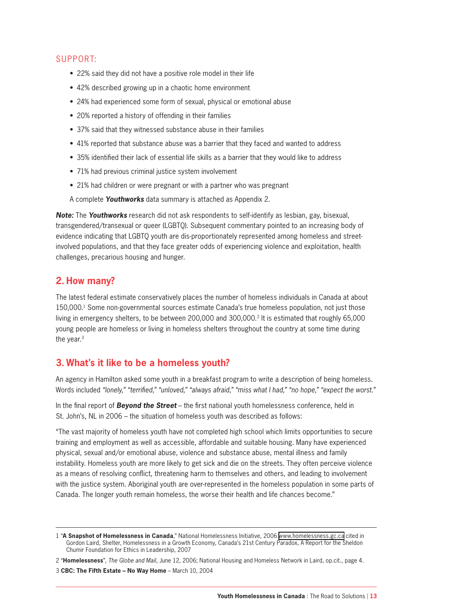#### Support:

- 22% said they did not have a positive role model in their life
- 42% described growing up in a chaotic home environment
- 24% had experienced some form of sexual, physical or emotional abuse
- 20% reported a history of offending in their families
- 37% said that they witnessed substance abuse in their families
- 41% reported that substance abuse was a barrier that they faced and wanted to address
- 35% identified their lack of essential life skills as a barrier that they would like to address
- 71% had previous criminal justice system involvement
- 21% had children or were pregnant or with a partner who was pregnant

A complete *Youthworks* data summary is attached as Appendix 2.

*Note:* The *Youthworks* research did not ask respondents to self-identify as lesbian, gay, bisexual, transgendered/transexual or queer (LGBTQ). Subsequent commentary pointed to an increasing body of evidence indicating that LGBTQ youth are dis-proportionately represented among homeless and streetinvolved populations, and that they face greater odds of experiencing violence and exploitation, health challenges, precarious housing and hunger.

#### **2. How many?**

The latest federal estimate conservatively places the number of homeless individuals in Canada at about 150,000.1 Some non-governmental sources estimate Canada's true homeless population, not just those living in emergency shelters, to be between 200,000 and 300,000.2 It is estimated that roughly 65,000 young people are homeless or living in homeless shelters throughout the country at some time during the year.3

#### **3. What's it like to be a homeless youth?**

An agency in Hamilton asked some youth in a breakfast program to write a description of being homeless. Words included *"lonely," "terrified," "unloved," "always afraid," "miss what I had," "no hope," "expect the worst."*

In the final report of *Beyond the Street* – the first national youth homelessness conference, held in St. John's, NL in 2006 – the situation of homeless youth was described as follows:

"The vast majority of homeless youth have not completed high school which limits opportunities to secure training and employment as well as accessible, affordable and suitable housing. Many have experienced physical, sexual and/or emotional abuse, violence and substance abuse, mental illness and family instability. Homeless youth are more likely to get sick and die on the streets. They often perceive violence as a means of resolving conflict, threatening harm to themselves and others, and leading to involvement with the justice system. Aboriginal youth are over-represented in the homeless population in some parts of Canada. The longer youth remain homeless, the worse their health and life chances become."

3 **CBC: The Fifth Estate – No Way Home** – March 10, 2004

<sup>1 &</sup>quot;**A Snapshot of Homelessness in Canada**," National Homelessness Initiative, 2006 [www.homelessness.gc.ca](http://www.homelessness.gc.ca) cited in Gordon Laird, Shelter, Homelessness in a Growth Economy, Canada's 21st Century Paradox, A Report for the Sheldon Chumir Foundation for Ethics in Leadership, 2007

<sup>2 &</sup>quot;**Homelessness**", *The Globe and Mail*, June 12, 2006; National Housing and Homeless Network in Laird, op.cit., page 4.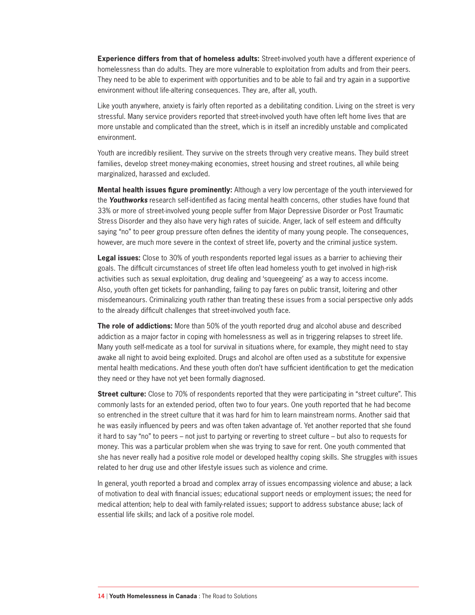**Experience differs from that of homeless adults:** Street-involved youth have a different experience of homelessness than do adults. They are more vulnerable to exploitation from adults and from their peers. They need to be able to experiment with opportunities and to be able to fail and try again in a supportive environment without life-altering consequences. They are, after all, youth.

Like youth anywhere, anxiety is fairly often reported as a debilitating condition. Living on the street is very stressful. Many service providers reported that street-involved youth have often left home lives that are more unstable and complicated than the street, which is in itself an incredibly unstable and complicated environment.

Youth are incredibly resilient. They survive on the streets through very creative means. They build street families, develop street money-making economies, street housing and street routines, all while being marginalized, harassed and excluded.

**Mental health issues figure prominently:** Although a very low percentage of the youth interviewed for the *Youthworks* research self-identified as facing mental health concerns, other studies have found that 33% or more of street-involved young people suffer from Major Depressive Disorder or Post Traumatic Stress Disorder and they also have very high rates of suicide. Anger, lack of self esteem and difficulty saying "no" to peer group pressure often defines the identity of many young people. The consequences, however, are much more severe in the context of street life, poverty and the criminal justice system.

**Legal issues:** Close to 30% of youth respondents reported legal issues as a barrier to achieving their goals. The difficult circumstances of street life often lead homeless youth to get involved in high-risk activities such as sexual exploitation, drug dealing and 'squeegeeing' as a way to access income. Also, youth often get tickets for panhandling, failing to pay fares on public transit, loitering and other misdemeanours. Criminalizing youth rather than treating these issues from a social perspective only adds to the already difficult challenges that street-involved youth face.

**The role of addictions:** More than 50% of the youth reported drug and alcohol abuse and described addiction as a major factor in coping with homelessness as well as in triggering relapses to street life. Many youth self-medicate as a tool for survival in situations where, for example, they might need to stay awake all night to avoid being exploited. Drugs and alcohol are often used as a substitute for expensive mental health medications. And these youth often don't have sufficient identification to get the medication they need or they have not yet been formally diagnosed.

**Street culture:** Close to 70% of respondents reported that they were participating in "street culture". This commonly lasts for an extended period, often two to four years. One youth reported that he had become so entrenched in the street culture that it was hard for him to learn mainstream norms. Another said that he was easily influenced by peers and was often taken advantage of. Yet another reported that she found it hard to say "no" to peers – not just to partying or reverting to street culture – but also to requests for money. This was a particular problem when she was trying to save for rent. One youth commented that she has never really had a positive role model or developed healthy coping skills. She struggles with issues related to her drug use and other lifestyle issues such as violence and crime.

In general, youth reported a broad and complex array of issues encompassing violence and abuse; a lack of motivation to deal with financial issues; educational support needs or employment issues; the need for medical attention; help to deal with family-related issues; support to address substance abuse; lack of essential life skills; and lack of a positive role model.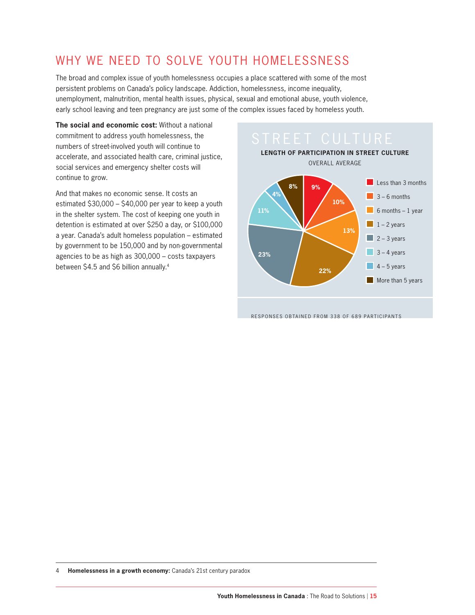# Why we need to solve youth homelessness

The broad and complex issue of youth homelessness occupies a place scattered with some of the most persistent problems on Canada's policy landscape. Addiction, homelessness, income inequality, unemployment, malnutrition, mental health issues, physical, sexual and emotional abuse, youth violence, early school leaving and teen pregnancy are just some of the complex issues faced by homeless youth.

**The social and economic cost:** Without a national commitment to address youth homelessness, the numbers of street-involved youth will continue to accelerate, and associated health care, criminal justice, social services and emergency shelter costs will continue to grow.

And that makes no economic sense. It costs an estimated \$30,000 – \$40,000 per year to keep a youth in the shelter system. The cost of keeping one youth in detention is estimated at over \$250 a day, or \$100,000 a year. Canada's adult homeless population – estimated by government to be 150,000 and by non-governmental agencies to be as high as 300,000 – costs taxpayers between \$4.5 and \$6 billion annually.4



RESPONSES OBTAINED FROM 338 OF 689 PARTICIPANTS

4 **Homelessness in a growth economy:** Canada's 21st century paradox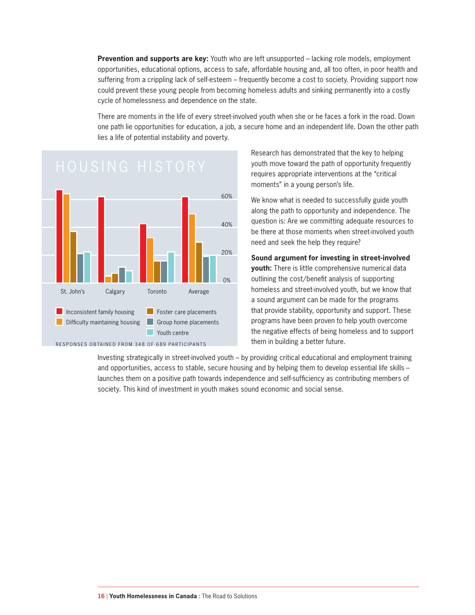**Prevention and supports are key:** Youth who are left unsupported – lacking role models, employment opportunities, educational options, access to safe, affordable housing and, all too often, in poor health and suffering from a crippling lack of self-esteem – frequently become a cost to society. Providing support now could prevent these young people from becoming homeless adults and sinking permanently into a costly cycle of homelessness and dependence on the state.

There are moments in the life of every street-involved youth when she or he faces a fork in the road. Down one path lie opportunities for education, a job, a secure home and an independent life. Down the other path lies a life of potential instability and poverty.



Research has demonstrated that the key to helping youth move toward the path of opportunity frequently requires appropriate interventions at the "critical moments" in a young person's life.

We know what is needed to successfully guide youth along the path to opportunity and independence. The question is: Are we committing adequate resources to be there at those moments when street-involved youth need and seek the help they require?

**Sound argument for investing in street-involved youth:** There is little comprehensive numerical data outlining the cost/benefit analysis of supporting homeless and street-involved youth, but we know that a sound argument can be made for the programs that provide stability, opportunity and support. These programs have been proven to help youth overcome the negative effects of being homeless and to support them in building a better future.

Investing strategically in street-involved youth – by providing critical educational and employment training and opportunities, access to stable, secure housing and by helping them to develop essential life skills – launches them on a positive path towards independence and self-sufficiency as contributing members of society. This kind of investment in youth makes sound economic and social sense.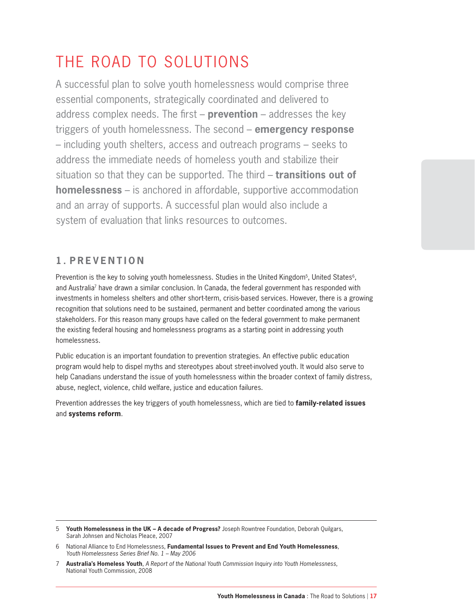# The Road to Solutions

A successful plan to solve youth homelessness would comprise three essential components, strategically coordinated and delivered to address complex needs. The first – **prevention** – addresses the key triggers of youth homelessness. The second – **emergency response** – including youth shelters, access and outreach programs – seeks to address the immediate needs of homeless youth and stabilize their situation so that they can be supported. The third – **transitions out of homelessness** – is anchored in affordable, supportive accommodation and an array of supports. A successful plan would also include a system of evaluation that links resources to outcomes.

#### **1 . P re v ention**

Prevention is the key to solving youth homelessness. Studies in the United Kingdom<sup>5</sup>, United States<sup>6</sup>, and Australia<sup>7</sup> have drawn a similar conclusion. In Canada, the federal government has responded with investments in homeless shelters and other short-term, crisis-based services. However, there is a growing recognition that solutions need to be sustained, permanent and better coordinated among the various stakeholders. For this reason many groups have called on the federal government to make permanent the existing federal housing and homelessness programs as a starting point in addressing youth homelessness.

Public education is an important foundation to prevention strategies. An effective public education program would help to dispel myths and stereotypes about street-involved youth. It would also serve to help Canadians understand the issue of youth homelessness within the broader context of family distress, abuse, neglect, violence, child welfare, justice and education failures.

Prevention addresses the key triggers of youth homelessness, which are tied to **family-related issues** and **systems reform**.

<sup>5</sup> **Youth Homelessness in the UK – A decade of Progress?** Joseph Rowntree Foundation, Deborah Quilgars, Sarah Johnsen and Nicholas Pleace, 2007

<sup>6</sup> National Alliance to End Homelessness, **Fundamental Issues to Prevent and End Youth Homelessness**, *Youth Homelessness Series Brief No. 1 – May 2006*

<sup>7</sup> **Australia's Homeless Youth**, *A Report of the National Youth Commission Inquiry into Youth Homelessness*, National Youth Commission, 2008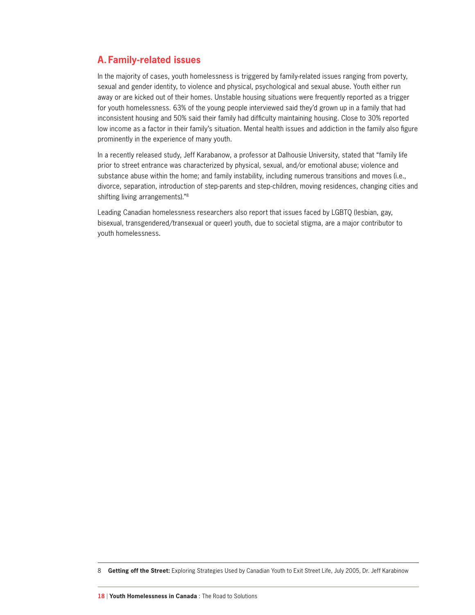#### **A. Family-related issues**

In the majority of cases, youth homelessness is triggered by family-related issues ranging from poverty, sexual and gender identity, to violence and physical, psychological and sexual abuse. Youth either run away or are kicked out of their homes. Unstable housing situations were frequently reported as a trigger for youth homelessness. 63% of the young people interviewed said they'd grown up in a family that had inconsistent housing and 50% said their family had difficulty maintaining housing. Close to 30% reported low income as a factor in their family's situation. Mental health issues and addiction in the family also figure prominently in the experience of many youth.

In a recently released study, Jeff Karabanow, a professor at Dalhousie University, stated that "family life prior to street entrance was characterized by physical, sexual, and/or emotional abuse; violence and substance abuse within the home; and family instability, including numerous transitions and moves (i.e., divorce, separation, introduction of step-parents and step-children, moving residences, changing cities and shifting living arrangements)."8

Leading Canadian homelessness researchers also report that issues faced by LGBTQ (lesbian, gay, bisexual, transgendered/transexual or queer) youth, due to societal stigma, are a major contributor to youth homelessness.

**18** | **Youth Homelessness in Canada** : The Road to Solutions

<sup>8</sup> **Getting off the Street:** Exploring Strategies Used by Canadian Youth to Exit Street Life, July 2005, Dr. Jeff Karabinow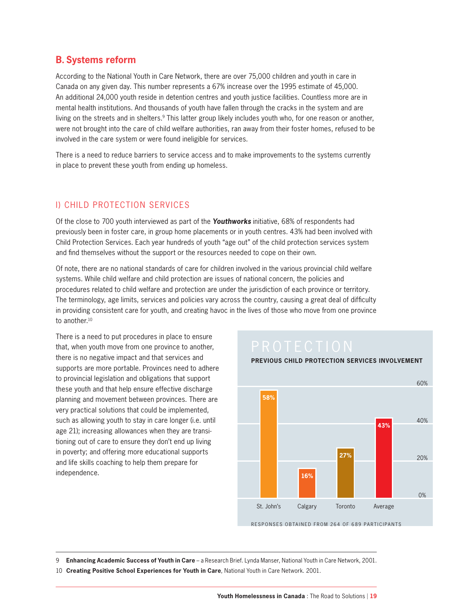#### **B. Systems reform**

According to the National Youth in Care Network, there are over 75,000 children and youth in care in Canada on any given day. This number represents a 67% increase over the 1995 estimate of 45,000. An additional 24,000 youth reside in detention centres and youth justice facilities. Countless more are in mental health institutions. And thousands of youth have fallen through the cracks in the system and are living on the streets and in shelters.<sup>9</sup> This latter group likely includes youth who, for one reason or another, were not brought into the care of child welfare authorities, ran away from their foster homes, refused to be involved in the care system or were found ineligible for services.

There is a need to reduce barriers to service access and to make improvements to the systems currently in place to prevent these youth from ending up homeless.

#### i) Child Protection Services

Of the close to 700 youth interviewed as part of the *Youthworks* initiative, 68% of respondents had previously been in foster care, in group home placements or in youth centres. 43% had been involved with Child Protection Services. Each year hundreds of youth "age out" of the child protection services system and find themselves without the support or the resources needed to cope on their own.

Of note, there are no national standards of care for children involved in the various provincial child welfare systems. While child welfare and child protection are issues of national concern, the policies and procedures related to child welfare and protection are under the jurisdiction of each province or territory. The terminology, age limits, services and policies vary across the country, causing a great deal of difficulty in providing consistent care for youth, and creating havoc in the lives of those who move from one province to another.<sup>10</sup>

There is a need to put procedures in place to ensure that, when youth move from one province to another, there is no negative impact and that services and supports are more portable. Provinces need to adhere to provincial legislation and obligations that support these youth and that help ensure effective discharge planning and movement between provinces. There are very practical solutions that could be implemented, such as allowing youth to stay in care longer (i.e. until age 21); increasing allowances when they are transitioning out of care to ensure they don't end up living in poverty; and offering more educational supports and life skills coaching to help them prepare for independence.



**previous child protection services involvement**

9 **Enhancing Academic Success of Youth in Care** – a Research Brief. Lynda Manser, National Youth in Care Network, 2001.

10 **Creating Positive School Experiences for Youth in Care**, National Youth in Care Network. 2001.

RESPONSES ORTAINED FROM 264 OF 689 PARTICIPANTS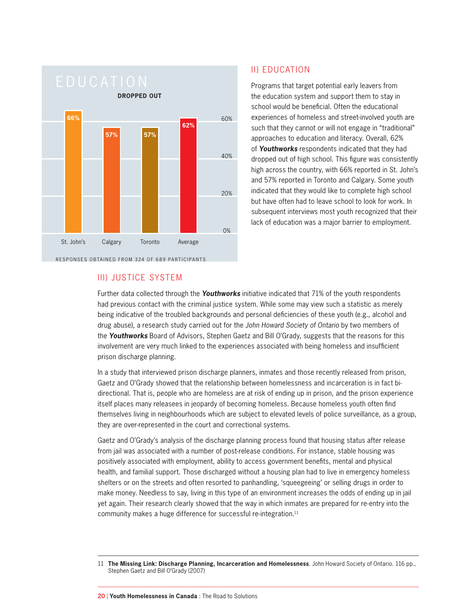

RESPONSES ORTAINED FROM 324 OF 689 PARTICIPANTS

#### ii) Education

Programs that target potential early leavers from the education system and support them to stay in school would be beneficial. Often the educational experiences of homeless and street-involved youth are such that they cannot or will not engage in "traditional" approaches to education and literacy. Overall, 62% of *Youthworks* respondents indicated that they had dropped out of high school. This figure was consistently high across the country, with 66% reported in St. John's and 57% reported in Toronto and Calgary. Some youth indicated that they would like to complete high school but have often had to leave school to look for work. In subsequent interviews most youth recognized that their lack of education was a major barrier to employment.

#### iii) Justice System

Further data collected through the *Youthworks* initiative indicated that 71% of the youth respondents had previous contact with the criminal justice system. While some may view such a statistic as merely being indicative of the troubled backgrounds and personal deficiencies of these youth (e.g., alcohol and drug abuse), a research study carried out for the *John Howard Society of Ontario* by two members of the *Youthworks* Board of Advisors, Stephen Gaetz and Bill O'Grady, suggests that the reasons for this involvement are very much linked to the experiences associated with being homeless and insufficient prison discharge planning.

In a study that interviewed prison discharge planners, inmates and those recently released from prison, Gaetz and O'Grady showed that the relationship between homelessness and incarceration is in fact bidirectional. That is, people who are homeless are at risk of ending up in prison, and the prison experience itself places many releasees in jeopardy of becoming homeless. Because homeless youth often find themselves living in neighbourhoods which are subject to elevated levels of police surveillance, as a group, they are over-represented in the court and correctional systems.

Gaetz and O'Grady's analysis of the discharge planning process found that housing status after release from jail was associated with a number of post-release conditions. For instance, stable housing was positively associated with employment, ability to access government benefits, mental and physical health, and familial support. Those discharged without a housing plan had to live in emergency homeless shelters or on the streets and often resorted to panhandling, 'squeegeeing' or selling drugs in order to make money. Needless to say, living in this type of an environment increases the odds of ending up in jail yet again. Their research clearly showed that the way in which inmates are prepared for re-entry into the community makes a huge difference for successful re-integration.11

<sup>11</sup> **The Missing Link: Discharge Planning, Incarceration and Homelessness**. John Howard Society of Ontario. 116 pp., Stephen Gaetz and Bill O'Grady (2007)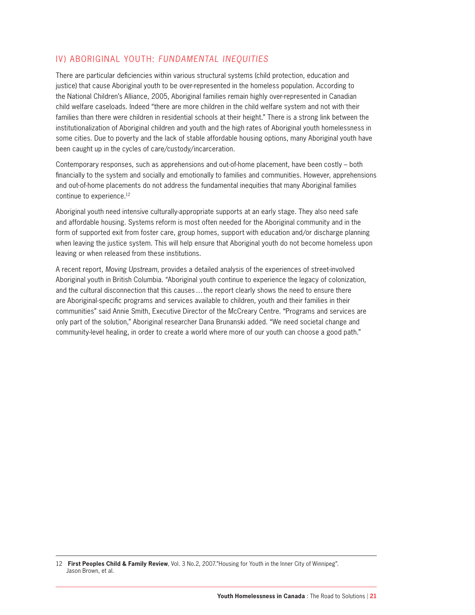#### iv ) Aboriginal Youth: *fundamental inequities*

There are particular deficiencies within various structural systems (child protection, education and justice) that cause Aboriginal youth to be over-represented in the homeless population. According to the National Children's Alliance, 2005, Aboriginal families remain highly over-represented in Canadian child welfare caseloads. Indeed "there are more children in the child welfare system and not with their families than there were children in residential schools at their height." There is a strong link between the institutionalization of Aboriginal children and youth and the high rates of Aboriginal youth homelessness in some cities. Due to poverty and the lack of stable affordable housing options, many Aboriginal youth have been caught up in the cycles of care/custody/incarceration.

Contemporary responses, such as apprehensions and out-of-home placement, have been costly – both financially to the system and socially and emotionally to families and communities. However, apprehensions and out-of-home placements do not address the fundamental inequities that many Aboriginal families continue to experience.<sup>12</sup>

Aboriginal youth need intensive culturally-appropriate supports at an early stage. They also need safe and affordable housing. Systems reform is most often needed for the Aboriginal community and in the form of supported exit from foster care, group homes, support with education and/or discharge planning when leaving the justice system. This will help ensure that Aboriginal youth do not become homeless upon leaving or when released from these institutions.

A recent report, *Moving Upstream*, provides a detailed analysis of the experiences of street-involved Aboriginal youth in British Columbia. "Aboriginal youth continue to experience the legacy of colonization, and the cultural disconnection that this causes…the report clearly shows the need to ensure there are Aboriginal-specific programs and services available to children, youth and their families in their communities" said Annie Smith, Executive Director of the McCreary Centre. "Programs and services are only part of the solution," Aboriginal researcher Dana Brunanski added. "We need societal change and community-level healing, in order to create a world where more of our youth can choose a good path."

<sup>12</sup> **First Peoples Child & Family Review**, Vol. 3 No.2, 2007."Housing for Youth in the Inner City of Winnipeg". Jason Brown, et al.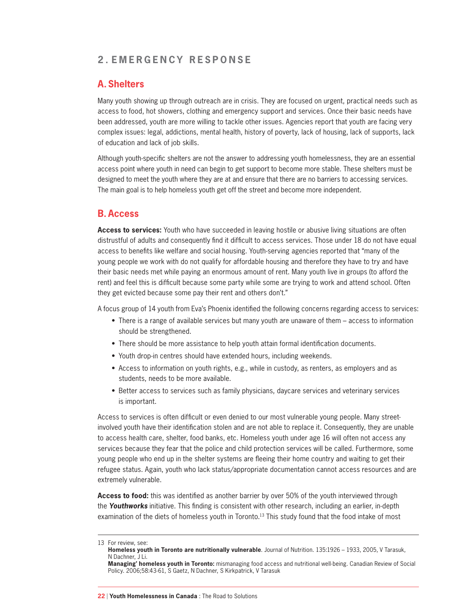#### **2 . E mergency R esponse**

#### **A. Shelters**

Many youth showing up through outreach are in crisis. They are focused on urgent, practical needs such as access to food, hot showers, clothing and emergency support and services. Once their basic needs have been addressed, youth are more willing to tackle other issues. Agencies report that youth are facing very complex issues: legal, addictions, mental health, history of poverty, lack of housing, lack of supports, lack of education and lack of job skills.

Although youth-specific shelters are not the answer to addressing youth homelessness, they are an essential access point where youth in need can begin to get support to become more stable. These shelters must be designed to meet the youth where they are at and ensure that there are no barriers to accessing services. The main goal is to help homeless youth get off the street and become more independent.

#### **B. Access**

**Access to services:** Youth who have succeeded in leaving hostile or abusive living situations are often distrustful of adults and consequently find it difficult to access services. Those under 18 do not have equal access to benefits like welfare and social housing. Youth-serving agencies reported that "many of the young people we work with do not qualify for affordable housing and therefore they have to try and have their basic needs met while paying an enormous amount of rent. Many youth live in groups (to afford the rent) and feel this is difficult because some party while some are trying to work and attend school. Often they get evicted because some pay their rent and others don't."

A focus group of 14 youth from Eva's Phoenix identified the following concerns regarding access to services:

- There is a range of available services but many youth are unaware of them access to information should be strengthened.
- There should be more assistance to help youth attain formal identification documents.
- Youth drop-in centres should have extended hours, including weekends.
- Access to information on youth rights, e.g., while in custody, as renters, as employers and as students, needs to be more available.
- Better access to services such as family physicians, daycare services and veterinary services is important.

Access to services is often difficult or even denied to our most vulnerable young people. Many streetinvolved youth have their identification stolen and are not able to replace it. Consequently, they are unable to access health care, shelter, food banks, etc. Homeless youth under age 16 will often not access any services because they fear that the police and child protection services will be called. Furthermore, some young people who end up in the shelter systems are fleeing their home country and waiting to get their refugee status. Again, youth who lack status/appropriate documentation cannot access resources and are extremely vulnerable.

Access to food: this was identified as another barrier by over 50% of the youth interviewed through the *Youthworks* initiative. This finding is consistent with other research, including an earlier, in-depth examination of the diets of homeless youth in Toronto.<sup>13</sup> This study found that the food intake of most

<sup>13</sup> For review, see:

**Homeless youth in Toronto are nutritionally vulnerable**. Journal of Nutrition. 135:1926 – 1933, 2005, V Tarasuk, N Dachner, J Li.

**Managing' homeless youth in Toronto:** mismanaging food access and nutritional well-being. Canadian Review of Social Policy. 2006;58:43-61, S Gaetz, N Dachner, S Kirkpatrick, V Tarasuk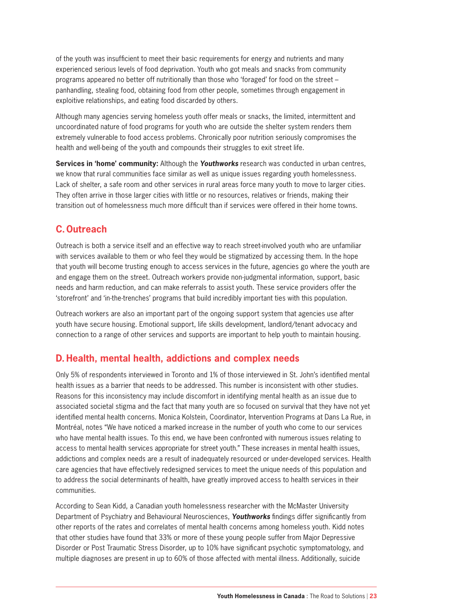of the youth was insufficient to meet their basic requirements for energy and nutrients and many experienced serious levels of food deprivation. Youth who got meals and snacks from community programs appeared no better off nutritionally than those who 'foraged' for food on the street – panhandling, stealing food, obtaining food from other people, sometimes through engagement in exploitive relationships, and eating food discarded by others.

Although many agencies serving homeless youth offer meals or snacks, the limited, intermittent and uncoordinated nature of food programs for youth who are outside the shelter system renders them extremely vulnerable to food access problems. Chronically poor nutrition seriously compromises the health and well-being of the youth and compounds their struggles to exit street life.

**Services in 'home' community:** Although the *Youthworks* research was conducted in urban centres, we know that rural communities face similar as well as unique issues regarding youth homelessness. Lack of shelter, a safe room and other services in rural areas force many youth to move to larger cities. They often arrive in those larger cities with little or no resources, relatives or friends, making their transition out of homelessness much more difficult than if services were offered in their home towns.

#### **C. Outreach**

Outreach is both a service itself and an effective way to reach street-involved youth who are unfamiliar with services available to them or who feel they would be stigmatized by accessing them. In the hope that youth will become trusting enough to access services in the future, agencies go where the youth are and engage them on the street. Outreach workers provide non-judgmental information, support, basic needs and harm reduction, and can make referrals to assist youth. These service providers offer the 'storefront' and 'in-the-trenches' programs that build incredibly important ties with this population.

Outreach workers are also an important part of the ongoing support system that agencies use after youth have secure housing. Emotional support, life skills development, landlord/tenant advocacy and connection to a range of other services and supports are important to help youth to maintain housing.

#### **D. Health, mental health, addictions and complex needs**

Only 5% of respondents interviewed in Toronto and 1% of those interviewed in St. John's identified mental health issues as a barrier that needs to be addressed. This number is inconsistent with other studies. Reasons for this inconsistency may include discomfort in identifying mental health as an issue due to associated societal stigma and the fact that many youth are so focused on survival that they have not yet identified mental health concerns. Monica Kolstein, Coordinator, Intervention Programs at Dans La Rue, in Montréal, notes "We have noticed a marked increase in the number of youth who come to our services who have mental health issues. To this end, we have been confronted with numerous issues relating to access to mental health services appropriate for street youth." These increases in mental health issues, addictions and complex needs are a result of inadequately resourced or under-developed services. Health care agencies that have effectively redesigned services to meet the unique needs of this population and to address the social determinants of health, have greatly improved access to health services in their communities.

According to Sean Kidd, a Canadian youth homelessness researcher with the McMaster University Department of Psychiatry and Behavioural Neurosciences, *Youthworks* findings differ significantly from other reports of the rates and correlates of mental health concerns among homeless youth. Kidd notes that other studies have found that 33% or more of these young people suffer from Major Depressive Disorder or Post Traumatic Stress Disorder, up to 10% have significant psychotic symptomatology, and multiple diagnoses are present in up to 60% of those affected with mental illness. Additionally, suicide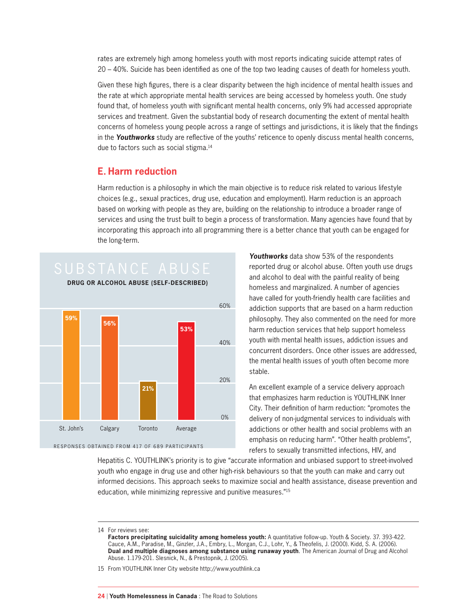rates are extremely high among homeless youth with most reports indicating suicide attempt rates of 20 – 40%. Suicide has been identified as one of the top two leading causes of death for homeless youth.

Given these high figures, there is a clear disparity between the high incidence of mental health issues and the rate at which appropriate mental health services are being accessed by homeless youth. One study found that, of homeless youth with significant mental health concerns, only 9% had accessed appropriate services and treatment. Given the substantial body of research documenting the extent of mental health concerns of homeless young people across a range of settings and jurisdictions, it is likely that the findings in the *Youthworks* study are reflective of the youths' reticence to openly discuss mental health concerns, due to factors such as social stigma.14

#### **E. Harm reduction**

Harm reduction is a philosophy in which the main objective is to reduce risk related to various lifestyle choices (e.g., sexual practices, drug use, education and employment). Harm reduction is an approach based on working with people as they are, building on the relationship to introduce a broader range of services and using the trust built to begin a process of transformation. Many agencies have found that by incorporating this approach into all programming there is a better chance that youth can be engaged for the long-term.





*Youthworks* data show 53% of the respondents reported drug or alcohol abuse. Often youth use drugs and alcohol to deal with the painful reality of being homeless and marginalized. A number of agencies have called for youth-friendly health care facilities and addiction supports that are based on a harm reduction philosophy. They also commented on the need for more harm reduction services that help support homeless youth with mental health issues, addiction issues and concurrent disorders. Once other issues are addressed, the mental health issues of youth often become more stable.

An excellent example of a service delivery approach that emphasizes harm reduction is YOUTHLINK Inner City. Their definition of harm reduction: "promotes the delivery of non-judgmental services to individuals with addictions or other health and social problems with an emphasis on reducing harm". "Other health problems", refers to sexually transmitted infections, HIV, and

Hepatitis C. YOUTHLINK's priority is to give "accurate information and unbiased support to street-involved youth who engage in drug use and other high-risk behaviours so that the youth can make and carry out informed decisions. This approach seeks to maximize social and health assistance, disease prevention and education, while minimizing repressive and punitive measures."15

<sup>14</sup> For reviews see:

**Factors precipitating suicidality among homeless youth:** A quantitative follow-up. Youth & Society. 37. 393-422. Cauce, A.M., Paradise, M., Ginzler, J.A., Embry, L., Morgan, C.J., Lohr, Y., & Theofelis, J. (2000). Kidd, S. A. (2006). **Dual and multiple diagnoses among substance using runaway youth**. The American Journal of Drug and Alcohol Abuse. 1.179-201. Slesnick, N., & Prestopnik, J. (2005).

<sup>15</sup> From YOUTHLINK Inner City website http://www.youthlink.ca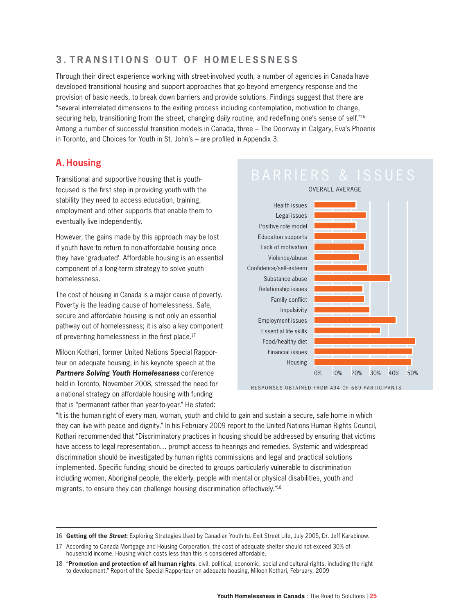#### **3 . T ransitions O ut of H omelessness**

Through their direct experience working with street-involved youth, a number of agencies in Canada have developed transitional housing and support approaches that go beyond emergency response and the provision of basic needs, to break down barriers and provide solutions. Findings suggest that there are "several interrelated dimensions to the exiting process including contemplation, motivation to change, securing help, transitioning from the street, changing daily routine, and redefining one's sense of self."<sup>16</sup> Among a number of successful transition models in Canada, three – The Doorway in Calgary, Eva's Phoenix in Toronto, and Choices for Youth in St. John's – are profiled in Appendix 3.

#### **A.Housing**

Transitional and supportive housing that is youthfocused is the first step in providing youth with the stability they need to access education, training, employment and other supports that enable them to eventually live independently.

However, the gains made by this approach may be lost if youth have to return to non-affordable housing once they have 'graduated'. Affordable housing is an essential component of a long-term strategy to solve youth homelessness.

The cost of housing in Canada is a major cause of poverty. Poverty is the leading cause of homelessness. Safe, secure and affordable housing is not only an essential pathway out of homelessness; it is also a key component of preventing homelessness in the first place.<sup>17</sup>

Miloon Kothari, former United Nations Special Rapporteur on adequate housing, in his keynote speech at the *Partners Solving Youth Homelessness* conference held in Toronto, November 2008, stressed the need for a national strategy on affordable housing with funding that is "permanent rather than year-to-year." He stated:

# Overall Average



RESPONSES OBTAINED FROM 494 OF 689 PARTICIPANTS

"It is the human right of every man, woman, youth and child to gain and sustain a secure, safe home in which they can live with peace and dignity." In his February 2009 report to the United Nations Human Rights Council, Kothari recommended that "Discriminatory practices in housing should be addressed by ensuring that victims have access to legal representation… prompt access to hearings and remedies. Systemic and widespread discrimination should be investigated by human rights commissions and legal and practical solutions implemented. Specific funding should be directed to groups particularly vulnerable to discrimination including women, Aboriginal people, the elderly, people with mental or physical disabilities, youth and migrants, to ensure they can challenge housing discrimination effectively."18

<sup>16</sup> **Getting off the** *Street***:** Exploring Strategies Used by Canadian Youth to. Exit Street Life, July 2005, Dr. Jeff Karabinow.

<sup>17</sup> According to Canada Mortgage and Housing Corporation, the cost of adequate shelter should not exceed 30% of household income. Housing which costs less than this is considered affordable.

<sup>18</sup> "**Promotion and protection of all human rights**, civil, political, economic, social and cultural rights, including the right to development." Report of the Special Rapporteur on adequate housing, Miloon Kothari, February, 2009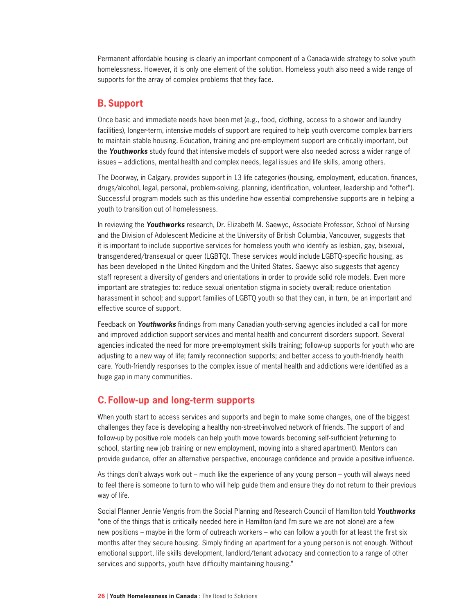Permanent affordable housing is clearly an important component of a Canada-wide strategy to solve youth homelessness. However, it is only one element of the solution. Homeless youth also need a wide range of supports for the array of complex problems that they face.

#### **B. Support**

Once basic and immediate needs have been met (e.g., food, clothing, access to a shower and laundry facilities), longer-term, intensive models of support are required to help youth overcome complex barriers to maintain stable housing. Education, training and pre-employment support are critically important, but the *Youthworks* study found that intensive models of support were also needed across a wider range of issues – addictions, mental health and complex needs, legal issues and life skills, among others.

The Doorway, in Calgary, provides support in 13 life categories (housing, employment, education, finances, drugs/alcohol, legal, personal, problem-solving, planning, identification, volunteer, leadership and "other"). Successful program models such as this underline how essential comprehensive supports are in helping a youth to transition out of homelessness.

In reviewing the *Youthworks* research, Dr. Elizabeth M. Saewyc, Associate Professor, School of Nursing and the Division of Adolescent Medicine at the University of British Columbia, Vancouver, suggests that it is important to include supportive services for homeless youth who identify as lesbian, gay, bisexual, transgendered/transexual or queer (LGBTQ). These services would include LGBTQ-specific housing, as has been developed in the United Kingdom and the United States. Saewyc also suggests that agency staff represent a diversity of genders and orientations in order to provide solid role models. Even more important are strategies to: reduce sexual orientation stigma in society overall; reduce orientation harassment in school; and support families of LGBTQ youth so that they can, in turn, be an important and effective source of support.

Feedback on *Youthworks* findings from many Canadian youth-serving agencies included a call for more and improved addiction support services and mental health and concurrent disorders support. Several agencies indicated the need for more pre-employment skills training; follow-up supports for youth who are adjusting to a new way of life; family reconnection supports; and better access to youth-friendly health care. Youth-friendly responses to the complex issue of mental health and addictions were identified as a huge gap in many communities.

#### **C. Follow-up and long-term supports**

When youth start to access services and supports and begin to make some changes, one of the biggest challenges they face is developing a healthy non-street-involved network of friends. The support of and follow-up by positive role models can help youth move towards becoming self-sufficient (returning to school, starting new job training or new employment, moving into a shared apartment). Mentors can provide guidance, offer an alternative perspective, encourage confidence and provide a positive influence.

As things don't always work out – much like the experience of any young person – youth will always need to feel there is someone to turn to who will help guide them and ensure they do not return to their previous way of life.

Social Planner Jennie Vengris from the Social Planning and Research Council of Hamilton told *Youthworks* "one of the things that is critically needed here in Hamilton (and I'm sure we are not alone) are a few new positions – maybe in the form of outreach workers – who can follow a youth for at least the first six months after they secure housing. Simply finding an apartment for a young person is not enough. Without emotional support, life skills development, landlord/tenant advocacy and connection to a range of other services and supports, youth have difficulty maintaining housing."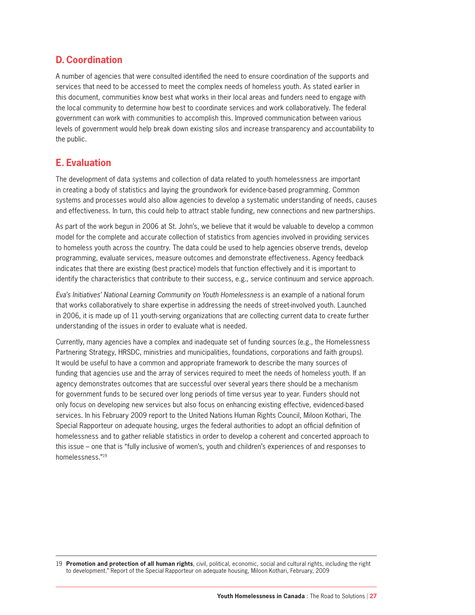#### **D. Coordination**

A number of agencies that were consulted identified the need to ensure coordination of the supports and services that need to be accessed to meet the complex needs of homeless youth. As stated earlier in this document, communities know best what works in their local areas and funders need to engage with the local community to determine how best to coordinate services and work collaboratively. The federal government can work with communities to accomplish this. Improved communication between various levels of government would help break down existing silos and increase transparency and accountability to the public.

#### **E. Evaluation**

The development of data systems and collection of data related to youth homelessness are important in creating a body of statistics and laying the groundwork for evidence-based programming. Common systems and processes would also allow agencies to develop a systematic understanding of needs, causes and effectiveness. In turn, this could help to attract stable funding, new connections and new partnerships.

As part of the work begun in 2006 at St. John's, we believe that it would be valuable to develop a common model for the complete and accurate collection of statistics from agencies involved in providing services to homeless youth across the country. The data could be used to help agencies observe trends, develop programming, evaluate services, measure outcomes and demonstrate effectiveness. Agency feedback indicates that there are existing (best practice) models that function effectively and it is important to identify the characteristics that contribute to their success, e.g., service continuum and service approach.

*Eva's Initiatives' National Learning Community on Youth Homelessness* is an example of a national forum that works collaboratively to share expertise in addressing the needs of street-involved youth. Launched in 2006, it is made up of 11 youth-serving organizations that are collecting current data to create further understanding of the issues in order to evaluate what is needed.

Currently, many agencies have a complex and inadequate set of funding sources (e.g., the Homelessness Partnering Strategy, HRSDC, ministries and municipalities, foundations, corporations and faith groups). It would be useful to have a common and appropriate framework to describe the many sources of funding that agencies use and the array of services required to meet the needs of homeless youth. If an agency demonstrates outcomes that are successful over several years there should be a mechanism for government funds to be secured over long periods of time versus year to year. Funders should not only focus on developing new services but also focus on enhancing existing effective, evidenced-based services. In his February 2009 report to the United Nations Human Rights Council, Miloon Kothari, The Special Rapporteur on adequate housing, urges the federal authorities to adopt an official definition of homelessness and to gather reliable statistics in order to develop a coherent and concerted approach to this issue – one that is "fully inclusive of women's, youth and children's experiences of and responses to homelessness."19

<sup>19</sup> **Promotion and protection of all human rights**, civil, political, economic, social and cultural rights, including the right to development." Report of the Special Rapporteur on adequate housing, Miloon Kothari, February, 2009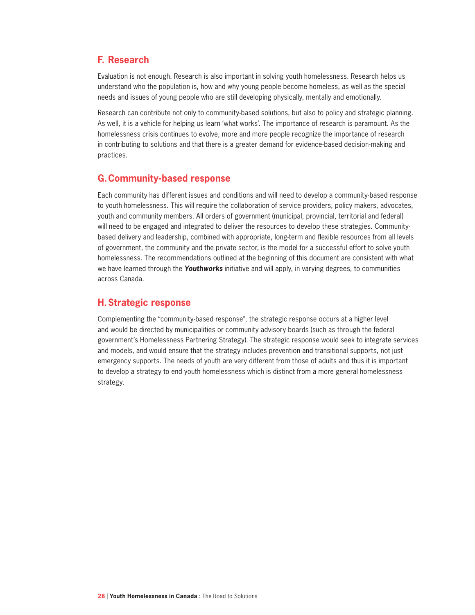#### **F. Research**

Evaluation is not enough. Research is also important in solving youth homelessness. Research helps us understand who the population is, how and why young people become homeless, as well as the special needs and issues of young people who are still developing physically, mentally and emotionally.

Research can contribute not only to community-based solutions, but also to policy and strategic planning. As well, it is a vehicle for helping us learn 'what works'. The importance of research is paramount. As the homelessness crisis continues to evolve, more and more people recognize the importance of research in contributing to solutions and that there is a greater demand for evidence-based decision-making and practices.

#### **G.Community-based response**

Each community has different issues and conditions and will need to develop a community-based response to youth homelessness. This will require the collaboration of service providers, policy makers, advocates, youth and community members. All orders of government (municipal, provincial, territorial and federal) will need to be engaged and integrated to deliver the resources to develop these strategies. Communitybased delivery and leadership, combined with appropriate, long-term and flexible resources from all levels of government, the community and the private sector, is the model for a successful effort to solve youth homelessness. The recommendations outlined at the beginning of this document are consistent with what we have learned through the *Youthworks* initiative and will apply, in varying degrees, to communities across Canada.

#### **H.Strategic response**

Complementing the "community-based response", the strategic response occurs at a higher level and would be directed by municipalities or community advisory boards (such as through the federal government's Homelessness Partnering Strategy). The strategic response would seek to integrate services and models, and would ensure that the strategy includes prevention and transitional supports, not just emergency supports. The needs of youth are very different from those of adults and thus it is important to develop a strategy to end youth homelessness which is distinct from a more general homelessness strategy.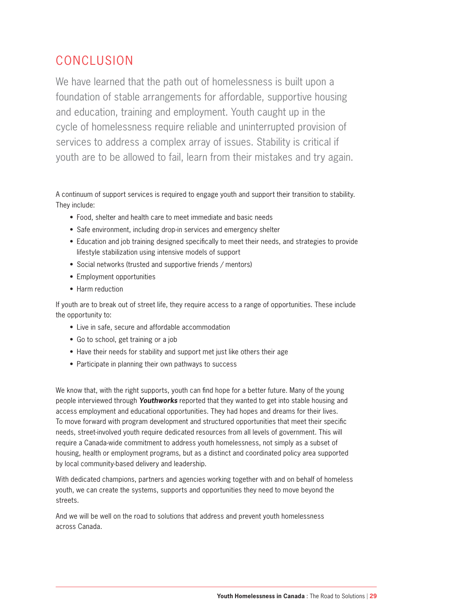# Conclusion

We have learned that the path out of homelessness is built upon a foundation of stable arrangements for affordable, supportive housing and education, training and employment. Youth caught up in the cycle of homelessness require reliable and uninterrupted provision of services to address a complex array of issues. Stability is critical if youth are to be allowed to fail, learn from their mistakes and try again.

A continuum of support services is required to engage youth and support their transition to stability. They include:

- Food, shelter and health care to meet immediate and basic needs
- Safe environment, including drop-in services and emergency shelter
- Education and job training designed specifically to meet their needs, and strategies to provide lifestyle stabilization using intensive models of support
- Social networks (trusted and supportive friends / mentors)
- Employment opportunities
- Harm reduction

If youth are to break out of street life, they require access to a range of opportunities. These include the opportunity to:

- Live in safe, secure and affordable accommodation
- Go to school, get training or a job
- Have their needs for stability and support met just like others their age
- Participate in planning their own pathways to success

We know that, with the right supports, youth can find hope for a better future. Many of the young people interviewed through *Youthworks* reported that they wanted to get into stable housing and access employment and educational opportunities. They had hopes and dreams for their lives. To move forward with program development and structured opportunities that meet their specific needs, street-involved youth require dedicated resources from all levels of government. This will require a Canada-wide commitment to address youth homelessness, not simply as a subset of housing, health or employment programs, but as a distinct and coordinated policy area supported by local community-based delivery and leadership.

With dedicated champions, partners and agencies working together with and on behalf of homeless youth, we can create the systems, supports and opportunities they need to move beyond the streets.

And we will be well on the road to solutions that address and prevent youth homelessness across Canada.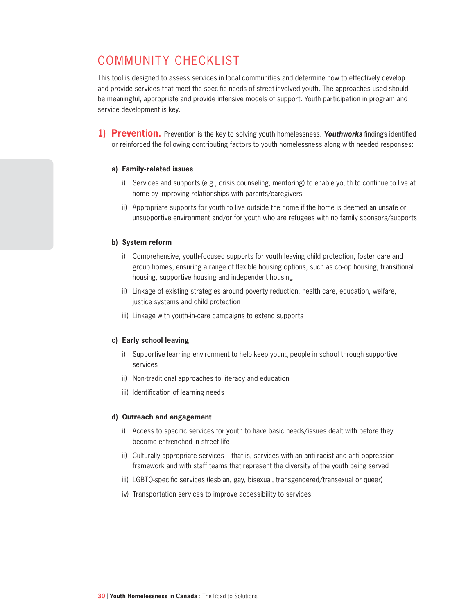# Community Checklist

This tool is designed to assess services in local communities and determine how to effectively develop and provide services that meet the specific needs of street-involved youth. The approaches used should be meaningful, appropriate and provide intensive models of support. Youth participation in program and service development is key.

**1) Prevention.** Prevention is the key to solving youth homelessness. *Youthworks* findings identified or reinforced the following contributing factors to youth homelessness along with needed responses:

#### **a) Family-related issues**

- i) Services and supports (e.g., crisis counseling, mentoring) to enable youth to continue to live at home by improving relationships with parents/caregivers
- ii) Appropriate supports for youth to live outside the home if the home is deemed an unsafe or unsupportive environment and/or for youth who are refugees with no family sponsors/supports

#### **b) System reform**

- i) Comprehensive, youth-focused supports for youth leaving child protection, foster care and group homes, ensuring a range of flexible housing options, such as co-op housing, transitional housing, supportive housing and independent housing
- ii) Linkage of existing strategies around poverty reduction, health care, education, welfare, justice systems and child protection
- iii) Linkage with youth-in-care campaigns to extend supports

#### **c) Early school leaving**

- i) Supportive learning environment to help keep young people in school through supportive services
- ii) Non-traditional approaches to literacy and education
- iii) Identification of learning needs

#### **d) Outreach and engagement**

- i) Access to specific services for youth to have basic needs/issues dealt with before they become entrenched in street life
- ii) Culturally appropriate services that is, services with an anti-racist and anti-oppression framework and with staff teams that represent the diversity of the youth being served
- iii) LGBTQ-specific services (lesbian, gay, bisexual, transgendered/transexual or queer)
- iv) Transportation services to improve accessibility to services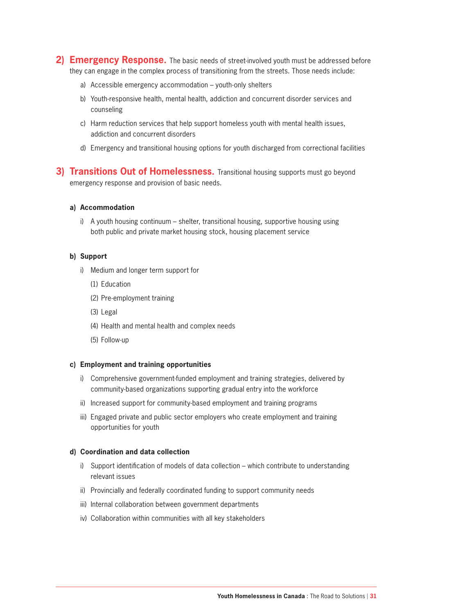2) **Emergency Response.** The basic needs of street-involved youth must be addressed before they can engage in the complex process of transitioning from the streets. Those needs include:

- a) Accessible emergency accommodation youth-only shelters
- b) Youth-responsive health, mental health, addiction and concurrent disorder services and counseling
- c) Harm reduction services that help support homeless youth with mental health issues, addiction and concurrent disorders
- d) Emergency and transitional housing options for youth discharged from correctional facilities
- **3) Transitions Out of Homelessness.** Transitional housing supports must go beyond emergency response and provision of basic needs.

#### **a) Accommodation**

i) A youth housing continuum – shelter, transitional housing, supportive housing using both public and private market housing stock, housing placement service

#### **b) Support**

- i) Medium and longer term support for
	- (1) Education
	- (2) Pre-employment training
	- (3) Legal
	- (4) Health and mental health and complex needs
	- (5) Follow-up

#### **c) Employment and training opportunities**

- i) Comprehensive government-funded employment and training strategies, delivered by community-based organizations supporting gradual entry into the workforce
- ii) Increased support for community-based employment and training programs
- iii) Engaged private and public sector employers who create employment and training opportunities for youth

#### **d) Coordination and data collection**

- i) Support identification of models of data collection which contribute to understanding relevant issues
- ii) Provincially and federally coordinated funding to support community needs
- iii) Internal collaboration between government departments
- iv) Collaboration within communities with all key stakeholders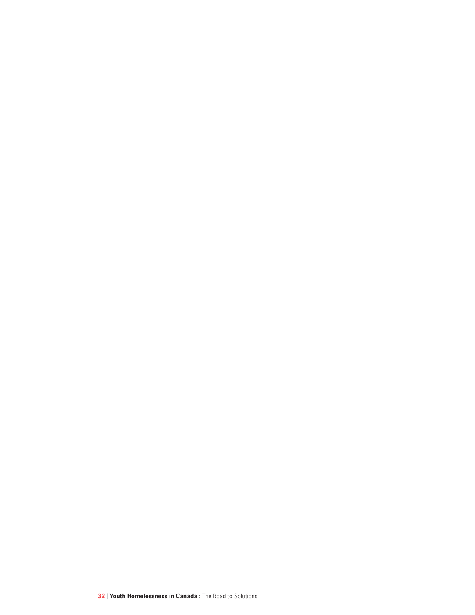| **Youth Homelessness in Canada** : The Road to Solutions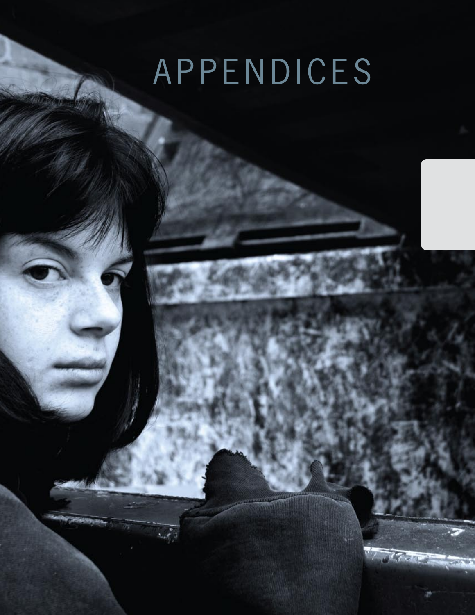# A ppendices

7 J Folen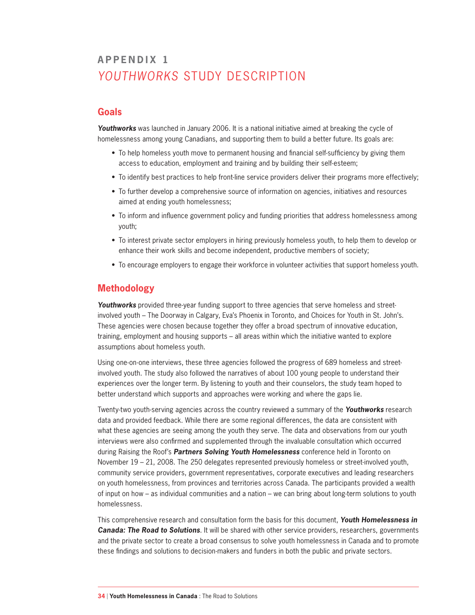# **A ppendi x 1** *Youthworks* study description

#### **Goals**

Youthworks was launched in January 2006. It is a national initiative aimed at breaking the cycle of homelessness among young Canadians, and supporting them to build a better future. Its goals are:

- To help homeless youth move to permanent housing and financial self-sufficiency by giving them access to education, employment and training and by building their self-esteem;
- To identify best practices to help front-line service providers deliver their programs more effectively;
- • To further develop a comprehensive source of information on agencies, initiatives and resources aimed at ending youth homelessness;
- To inform and influence government policy and funding priorities that address homelessness among youth;
- To interest private sector employers in hiring previously homeless youth, to help them to develop or enhance their work skills and become independent, productive members of society;
- • To encourage employers to engage their workforce in volunteer activities that support homeless youth.

#### **Methodology**

*Youthworks* provided three-year funding support to three agencies that serve homeless and streetinvolved youth – The Doorway in Calgary, Eva's Phoenix in Toronto, and Choices for Youth in St. John's. These agencies were chosen because together they offer a broad spectrum of innovative education, training, employment and housing supports – all areas within which the initiative wanted to explore assumptions about homeless youth.

Using one-on-one interviews, these three agencies followed the progress of 689 homeless and streetinvolved youth. The study also followed the narratives of about 100 young people to understand their experiences over the longer term. By listening to youth and their counselors, the study team hoped to better understand which supports and approaches were working and where the gaps lie.

Twenty-two youth-serving agencies across the country reviewed a summary of the *Youthworks* research data and provided feedback. While there are some regional differences, the data are consistent with what these agencies are seeing among the youth they serve. The data and observations from our youth interviews were also confirmed and supplemented through the invaluable consultation which occurred during Raising the Roof's *Partners Solving Youth Homelessness* conference held in Toronto on November 19 – 21, 2008. The 250 delegates represented previously homeless or street-involved youth, community service providers, government representatives, corporate executives and leading researchers on youth homelessness, from provinces and territories across Canada. The participants provided a wealth of input on how – as individual communities and a nation – we can bring about long-term solutions to youth homelessness.

This comprehensive research and consultation form the basis for this document, *Youth Homelessness in Canada: The Road to Solutions*. It will be shared with other service providers, researchers, governments and the private sector to create a broad consensus to solve youth homelessness in Canada and to promote these findings and solutions to decision-makers and funders in both the public and private sectors.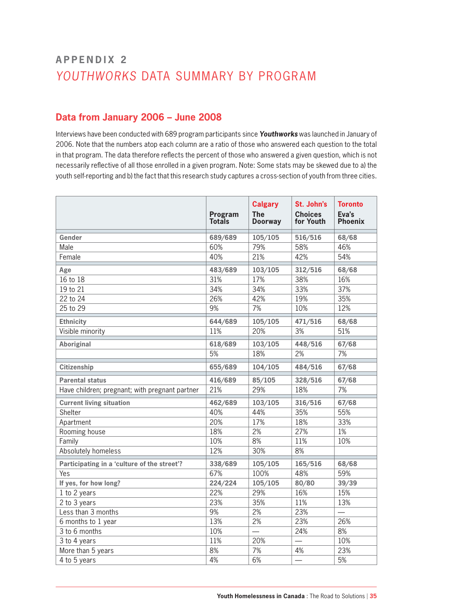# **A ppendi x 2** *Youthworks* data summary by program

#### **Data from January 2006 – June 2008**

Interviews have been conducted with 689 program participants since *Youthworks* was launched in January of 2006. Note that the numbers atop each column are a ratio of those who answered each question to the total in that program. The data therefore reflects the percent of those who answered a given question, which is not necessarily reflective of all those enrolled in a given program. Note: Some stats may be skewed due to a) the youth self-reporting and b) the fact that this research study captures a cross-section of youth from three cities.

|                                                | Program<br>Totals | <b>Calgary</b><br><b>The</b><br><b>Doorway</b> | St. John's<br><b>Choices</b><br>for Youth | <b>Toronto</b><br>Eva's<br><b>Phoenix</b> |
|------------------------------------------------|-------------------|------------------------------------------------|-------------------------------------------|-------------------------------------------|
| Gender                                         | 689/689           | 105/105                                        | 516/516                                   | 68/68                                     |
| Male                                           | 60%               | 79%                                            | 58%                                       | 46%                                       |
| Female                                         | 40%               | 21%                                            | 42%                                       | 54%                                       |
| Age                                            | 483/689           | 103/105                                        | 312/516                                   | 68/68                                     |
| 16 to 18                                       | 31%               | 17%                                            | 38%                                       | 16%                                       |
| 19 to 21                                       | 34%               | 34%                                            | 33%                                       | 37%                                       |
| 22 to 24                                       | 26%               | 42%                                            | 19%                                       | 35%                                       |
| 25 to 29                                       | 9%                | 7%                                             | 10%                                       | 12%                                       |
| <b>Ethnicity</b>                               | 644/689           | 105/105                                        | 471/516                                   | 68/68                                     |
| Visible minority                               | 11%               | 20%                                            | 3%                                        | 51%                                       |
| Aboriginal                                     | 618/689           | 103/105                                        | 448/516                                   | 67/68                                     |
|                                                | 5%                | 18%                                            | 2%                                        | 7%                                        |
| <b>Citizenship</b>                             | 655/689           | 104/105                                        | 484/516                                   | 67/68                                     |
| <b>Parental status</b>                         | 416/689           | 85/105                                         | 328/516                                   | 67/68                                     |
| Have children; pregnant; with pregnant partner | 21%               | 29%                                            | 18%                                       | 7%                                        |
| <b>Current living situation</b>                | 462/689           | 103/105                                        | 316/516                                   | 67/68                                     |
| Shelter                                        | 40%               | 44%                                            | 35%                                       | 55%                                       |
| Apartment                                      | 20%               | 17%                                            | 18%                                       | 33%                                       |
| Rooming house                                  | 18%               | 2%                                             | 27%                                       | 1%                                        |
| Family                                         | 10%               | 8%                                             | 11%                                       | 10%                                       |
| Absolutely homeless                            | 12%               | 30%                                            | 8%                                        |                                           |
| Participating in a 'culture of the street'?    | 338/689           | 105/105                                        | 165/516                                   | 68/68                                     |
| Yes                                            | 67%               | 100%                                           | 48%                                       | 59%                                       |
| If yes, for how long?                          | 224/224           | 105/105                                        | 80/80                                     | 39/39                                     |
| 1 to 2 years                                   | 22%               | 29%                                            | 16%                                       | 15%                                       |
| 2 to 3 years                                   | 23%               | 35%                                            | 11%                                       | 13%                                       |
| Less than 3 months                             | 9%                | 2%                                             | 23%                                       | $\overline{\phantom{0}}$                  |
| 6 months to 1 year                             | 13%               | 2%                                             | 23%                                       | 26%                                       |
| 3 to 6 months                                  | 10%               | $\equiv$                                       | 24%                                       | 8%                                        |
| 3 to 4 years                                   | 11%               | 20%                                            | $\equiv$                                  | 10%                                       |
| More than 5 years                              | 8%                | 7%                                             | 4%                                        | 23%                                       |
| 4 to 5 years                                   | 4%                | 6%                                             |                                           | 5%                                        |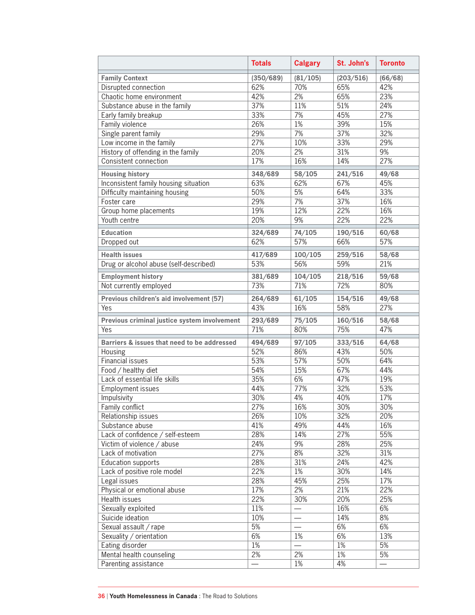|                                              | <b>Totals</b> | <b>Calgary</b> | St. John's | <b>Toronto</b> |
|----------------------------------------------|---------------|----------------|------------|----------------|
| <b>Family Context</b>                        | (350/689)     | (81/105)       | (203/516)  | (66/68)        |
| Disrupted connection                         | 62%           | 70%            | 65%        | 42%            |
| Chaotic home environment                     | 42%           | 2%             | 65%        | 23%            |
| Substance abuse in the family                | 37%           | 11%            | 51%        | 24%            |
| Early family breakup                         | 33%           | 7%             | 45%        | 27%            |
| Family violence                              | 26%           | $1\%$          | 39%        | 15%            |
| Single parent family                         | 29%           | 7%             | 37%        | 32%            |
| Low income in the family                     | 27%           | 10%            | 33%        | 29%            |
| History of offending in the family           | 20%           | 2%             | 31%        | 9%             |
| Consistent connection                        | 17%           | 16%            | 14%        | 27%            |
| <b>Housing history</b>                       | 348/689       | 58/105         | 241/516    | 49/68          |
| Inconsistent family housing situation        | 63%           | 62%            | 67%        | 45%            |
| Difficulty maintaining housing               | 50%           | 5%             | 64%        | 33%            |
| Foster care                                  | 29%           | 7%             | 37%        | 16%            |
| Group home placements                        | 19%           | 12%            | 22%        | 16%            |
| Youth centre                                 | 20%           | 9%             | 22%        | 22%            |
| <b>Education</b>                             | 324/689       | 74/105         | 190/516    | 60/68          |
| Dropped out                                  | 62%           | 57%            | 66%        | 57%            |
| <b>Health issues</b>                         | 417/689       | 100/105        | 259/516    | 58/68          |
| Drug or alcohol abuse (self-described)       | 53%           | 56%            | 59%        | 21%            |
| <b>Employment history</b>                    | 381/689       | 104/105        | 218/516    | 59/68          |
| Not currently employed                       | 73%           | 71%            | 72%        | 80%            |
| Previous children's aid involvement (57)     | 264/689       | 61/105         | 154/516    | 49/68          |
| Yes                                          | 43%           | 16%            | 58%        | 27%            |
| Previous criminal justice system involvement | 293/689       | 75/105         | 160/516    | 58/68          |
| Yes                                          | 71%           | 80%            | 75%        | 47%            |
| Barriers & issues that need to be addressed  | 494/689       | 97/105         | 333/516    | 64/68          |
| Housing                                      | 52%           | 86%            | 43%        | 50%            |
| <b>Financial issues</b>                      | 53%           | 57%            | 50%        | 64%            |
| Food / healthy diet                          | 54%           | 15%            | 67%        | 44%            |
| Lack of essential life skills                | 35%           | 6%             | 47%        | 19%            |
| Employment issues                            | 44%           | 77%            | 32%        | 53%            |
| Impulsivity                                  | 30%           | 4%             | 40%        | 17%            |
| Family conflict                              | 27%           | 16%            | 30%        | 30%            |
| Relationship issues                          | 26%           | 10%            | 32%        | 20%            |
| Substance abuse                              | 41%           | 49%            | 44%        | 16%            |
| Lack of confidence / self-esteem             | 28%           | 14%            | 27%        | 55%            |
| Victim of violence / abuse                   | 24%           | 9%             | 28%        | 25%            |
| Lack of motivation                           | 27%           | 8%             | 32%        | 31%            |
| Education supports                           | 28%           | 31%            | 24%        | 42%            |
| Lack of positive role model                  | 22%           | $1\%$          | 30%        | 14%            |
| Legal issues                                 | 28%           | 45%            | 25%        | 17%            |
| Physical or emotional abuse                  | 17%           | 2%             | 21%        | 22%            |
| Health issues                                | 22%           | 30%            | 20%        | 25%            |
| Sexually exploited                           | 11%           |                | 16%        | 6%             |
| Suicide ideation                             | 10%           |                | 14%        | 8%             |
| Sexual assault / rape                        | $5%$          |                | 6%         | 6%             |
| Sexuality / orientation                      | 6%            | 1%             | 6%         | 13%            |
| Eating disorder                              | 1%            |                | 1%         | 5%             |
| Mental health counseling                     | 2%            | 2%             | 1%         | 5%             |
| Parenting assistance                         |               | 1%             | 4%         |                |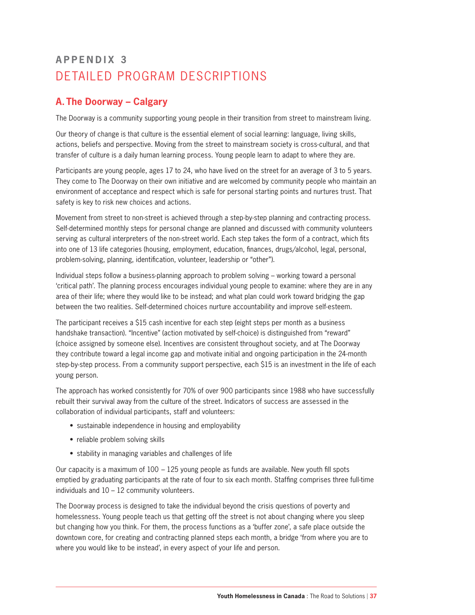# **A ppendi x 3** Detailed program descriptions

#### **A. The Doorway – Calgary**

The Doorway is a community supporting young people in their transition from street to mainstream living.

Our theory of change is that culture is the essential element of social learning: language, living skills, actions, beliefs and perspective. Moving from the street to mainstream society is cross-cultural, and that transfer of culture is a daily human learning process. Young people learn to adapt to where they are.

Participants are young people, ages 17 to 24, who have lived on the street for an average of 3 to 5 years. They come to The Doorway on their own initiative and are welcomed by community people who maintain an environment of acceptance and respect which is safe for personal starting points and nurtures trust. That safety is key to risk new choices and actions.

Movement from street to non-street is achieved through a step-by-step planning and contracting process. Self-determined monthly steps for personal change are planned and discussed with community volunteers serving as cultural interpreters of the non-street world. Each step takes the form of a contract, which fits into one of 13 life categories (housing, employment, education, finances, drugs/alcohol, legal, personal, problem-solving, planning, identification, volunteer, leadership or "other").

Individual steps follow a business-planning approach to problem solving – working toward a personal 'critical path'. The planning process encourages individual young people to examine: where they are in any area of their life; where they would like to be instead; and what plan could work toward bridging the gap between the two realities. Self-determined choices nurture accountability and improve self-esteem.

The participant receives a \$15 cash incentive for each step (eight steps per month as a business handshake transaction). "Incentive" (action motivated by self-choice) is distinguished from "reward" (choice assigned by someone else). Incentives are consistent throughout society, and at The Doorway they contribute toward a legal income gap and motivate initial and ongoing participation in the 24-month step-by-step process. From a community support perspective, each \$15 is an investment in the life of each young person.

The approach has worked consistently for 70% of over 900 participants since 1988 who have successfully rebuilt their survival away from the culture of the street. Indicators of success are assessed in the collaboration of individual participants, staff and volunteers:

- sustainable independence in housing and employability
- reliable problem solving skills
- stability in managing variables and challenges of life

Our capacity is a maximum of 100 – 125 young people as funds are available. New youth fill spots emptied by graduating participants at the rate of four to six each month. Staffing comprises three full-time individuals and 10 – 12 community volunteers.

The Doorway process is designed to take the individual beyond the crisis questions of poverty and homelessness. Young people teach us that getting off the street is not about changing where you sleep but changing how you think. For them, the process functions as a 'buffer zone', a safe place outside the downtown core, for creating and contracting planned steps each month, a bridge 'from where you are to where you would like to be instead', in every aspect of your life and person.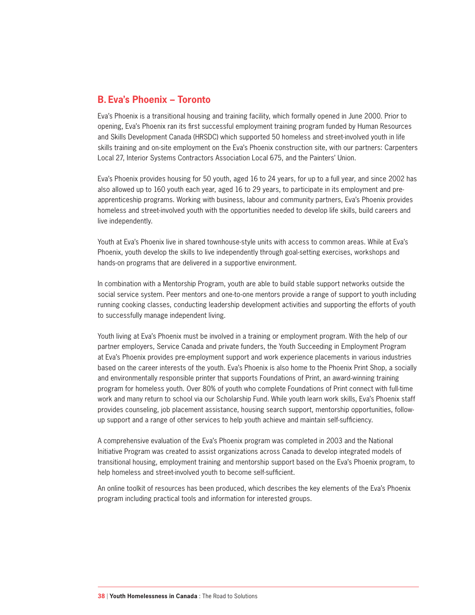#### **B. Eva's Phoenix – Toronto**

Eva's Phoenix is a transitional housing and training facility, which formally opened in June 2000. Prior to opening, Eva's Phoenix ran its first successful employment training program funded by Human Resources and Skills Development Canada (HRSDC) which supported 50 homeless and street-involved youth in life skills training and on-site employment on the Eva's Phoenix construction site, with our partners: Carpenters Local 27, Interior Systems Contractors Association Local 675, and the Painters' Union.

Eva's Phoenix provides housing for 50 youth, aged 16 to 24 years, for up to a full year, and since 2002 has also allowed up to 160 youth each year, aged 16 to 29 years, to participate in its employment and preapprenticeship programs. Working with business, labour and community partners, Eva's Phoenix provides homeless and street-involved youth with the opportunities needed to develop life skills, build careers and live independently.

Youth at Eva's Phoenix live in shared townhouse-style units with access to common areas. While at Eva's Phoenix, youth develop the skills to live independently through goal-setting exercises, workshops and hands-on programs that are delivered in a supportive environment.

In combination with a Mentorship Program, youth are able to build stable support networks outside the social service system. Peer mentors and one-to-one mentors provide a range of support to youth including running cooking classes, conducting leadership development activities and supporting the efforts of youth to successfully manage independent living.

Youth living at Eva's Phoenix must be involved in a training or employment program. With the help of our partner employers, Service Canada and private funders, the Youth Succeeding in Employment Program at Eva's Phoenix provides pre-employment support and work experience placements in various industries based on the career interests of the youth. Eva's Phoenix is also home to the Phoenix Print Shop, a socially and environmentally responsible printer that supports Foundations of Print, an award-winning training program for homeless youth. Over 80% of youth who complete Foundations of Print connect with full-time work and many return to school via our Scholarship Fund. While youth learn work skills, Eva's Phoenix staff provides counseling, job placement assistance, housing search support, mentorship opportunities, followup support and a range of other services to help youth achieve and maintain self-sufficiency.

A comprehensive evaluation of the Eva's Phoenix program was completed in 2003 and the National Initiative Program was created to assist organizations across Canada to develop integrated models of transitional housing, employment training and mentorship support based on the Eva's Phoenix program, to help homeless and street-involved youth to become self-sufficient.

An online toolkit of resources has been produced, which describes the key elements of the Eva's Phoenix program including practical tools and information for interested groups.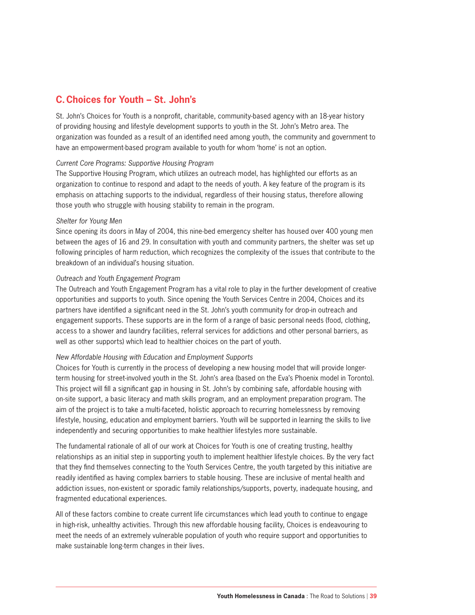#### **C.Choices for Youth – St. John's**

St. John's Choices for Youth is a nonprofit, charitable, community-based agency with an 18-year history of providing housing and lifestyle development supports to youth in the St. John's Metro area. The organization was founded as a result of an identified need among youth, the community and government to have an empowerment-based program available to youth for whom 'home' is not an option.

#### *Current Core Programs: Supportive Housing Program*

The Supportive Housing Program, which utilizes an outreach model, has highlighted our efforts as an organization to continue to respond and adapt to the needs of youth. A key feature of the program is its emphasis on attaching supports to the individual, regardless of their housing status, therefore allowing those youth who struggle with housing stability to remain in the program.

#### *Shelter for Young Men*

Since opening its doors in May of 2004, this nine-bed emergency shelter has housed over 400 young men between the ages of 16 and 29. In consultation with youth and community partners, the shelter was set up following principles of harm reduction, which recognizes the complexity of the issues that contribute to the breakdown of an individual's housing situation.

#### *Outreach and Youth Engagement Program*

The Outreach and Youth Engagement Program has a vital role to play in the further development of creative opportunities and supports to youth. Since opening the Youth Services Centre in 2004, Choices and its partners have identified a significant need in the St. John's youth community for drop-in outreach and engagement supports. These supports are in the form of a range of basic personal needs (food, clothing, access to a shower and laundry facilities, referral services for addictions and other personal barriers, as well as other supports) which lead to healthier choices on the part of youth.

#### *New Affordable Housing with Education and Employment Supports*

Choices for Youth is currently in the process of developing a new housing model that will provide longerterm housing for street-involved youth in the St. John's area (based on the Eva's Phoenix model in Toronto). This project will fill a significant gap in housing in St. John's by combining safe, affordable housing with on-site support, a basic literacy and math skills program, and an employment preparation program. The aim of the project is to take a multi-faceted, holistic approach to recurring homelessness by removing lifestyle, housing, education and employment barriers. Youth will be supported in learning the skills to live independently and securing opportunities to make healthier lifestyles more sustainable.

The fundamental rationale of all of our work at Choices for Youth is one of creating trusting, healthy relationships as an initial step in supporting youth to implement healthier lifestyle choices. By the very fact that they find themselves connecting to the Youth Services Centre, the youth targeted by this initiative are readily identified as having complex barriers to stable housing. These are inclusive of mental health and addiction issues, non-existent or sporadic family relationships/supports, poverty, inadequate housing, and fragmented educational experiences.

All of these factors combine to create current life circumstances which lead youth to continue to engage in high-risk, unhealthy activities. Through this new affordable housing facility, Choices is endeavouring to meet the needs of an extremely vulnerable population of youth who require support and opportunities to make sustainable long-term changes in their lives.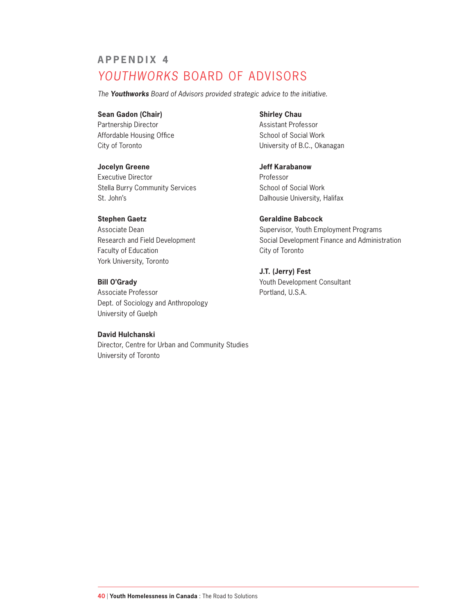# **A ppendi x 4** *Youthworks* Board of Advisors

*The Youthworks Board of Advisors provided strategic advice to the initiative.*

#### **Sean Gadon (Chair)**

Partnership Director Affordable Housing Office City of Toronto

#### **Jocelyn Greene**

Executive Director Stella Burry Community Services St. John's

#### **Stephen Gaetz**

Associate Dean Research and Field Development Faculty of Education York University, Toronto

#### **Bill O'Grady**

Associate Professor Dept. of Sociology and Anthropology University of Guelph

#### **David Hulchanski**

Director, Centre for Urban and Community Studies University of Toronto

**Shirley Chau** Assistant Professor School of Social Work University of B.C., Okanagan

**Jeff Karabanow** Professor School of Social Work Dalhousie University, Halifax

#### **Geraldine Babcock**

Supervisor, Youth Employment Programs Social Development Finance and Administration City of Toronto

**J.T. (Jerry) Fest** Youth Development Consultant Portland, U.S.A.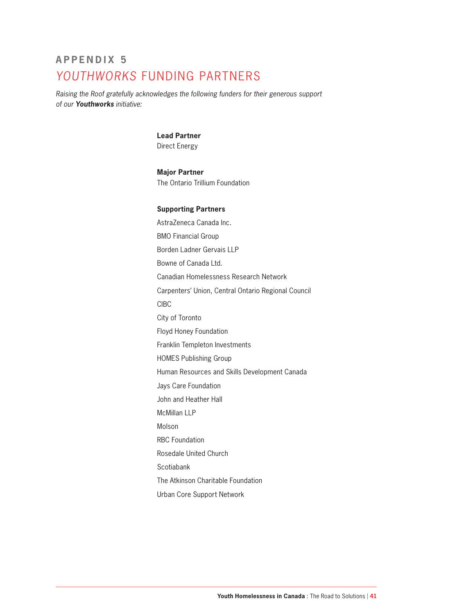# **A ppendi x 5** *Youthworks* Funding Partners

*Raising the Roof gratefully acknowledges the following funders for their generous support of our Youthworks initiative:*

#### **Lead Partner**

Direct Energy

**Major Partner** The Ontario Trillium Foundation

#### **Supporting Partners**

AstraZeneca Canada Inc. BMO Financial Group Borden Ladner Gervais LLP Bowne of Canada Ltd. Canadian Homelessness Research Network Carpenters' Union, Central Ontario Regional Council CIBC City of Toronto Floyd Honey Foundation Franklin Templeton Investments HOMES Publishing Group Human Resources and Skills Development Canada Jays Care Foundation John and Heather Hall McMillan LLP Molson RBC Foundation Rosedale United Church Scotiabank The Atkinson Charitable Foundation Urban Core Support Network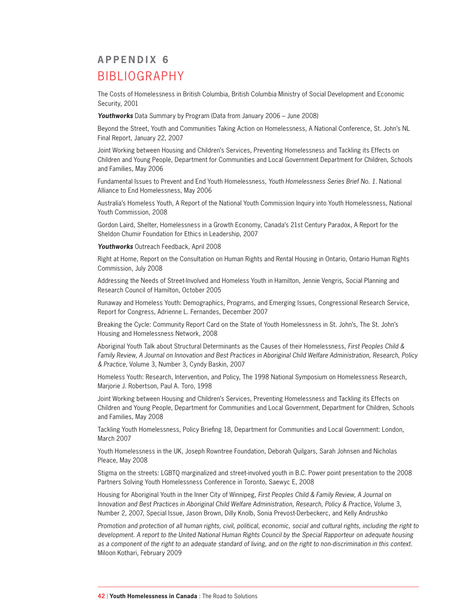# **A ppendi x 6 BIBLIOGRAPHY**

The Costs of Homelessness in British Columbia, British Columbia Ministry of Social Development and Economic Security, 2001

*Youthworks* Data Summary by Program (Data from January 2006 – June 2008)

Beyond the Street, Youth and Communities Taking Action on Homelessness, A National Conference, St. John's NL Final Report, January 22, 2007

Joint Working between Housing and Children's Services, Preventing Homelessness and Tackling its Effects on Children and Young People, Department for Communities and Local Government Department for Children, Schools and Families, May 2006

Fundamental Issues to Prevent and End Youth Homelessness, *Youth Homelessness Series Brief No. 1*. National Alliance to End Homelessness, May 2006

Australia's Homeless Youth, A Report of the National Youth Commission Inquiry into Youth Homelessness, National Youth Commission, 2008

Gordon Laird, Shelter, Homelessness in a Growth Economy, Canada's 21st Century Paradox, A Report for the Sheldon Chumir Foundation for Ethics in Leadership, 2007

*Youthworks* Outreach Feedback, April 2008

Right at Home, Report on the Consultation on Human Rights and Rental Housing in Ontario, Ontario Human Rights Commission, July 2008

Addressing the Needs of Street-Involved and Homeless Youth in Hamilton, Jennie Vengris, Social Planning and Research Council of Hamilton, October 2005

Runaway and Homeless Youth: Demographics, Programs, and Emerging Issues, Congressional Research Service, Report for Congress, Adrienne L. Fernandes, December 2007

Breaking the Cycle: Community Report Card on the State of Youth Homelessness in St. John's, The St. John's Housing and Homelessness Network, 2008

Aboriginal Youth Talk about Structural Determinants as the Causes of their Homelessness, *First Peoples Child & Family Review, A Journal on Innovation and Best Practices in Aboriginal Child Welfare Administration, Research, Policy & Practice*, Volume 3, Number 3, Cyndy Baskin, 2007

Homeless Youth: Research, Intervention, and Policy, The 1998 National Symposium on Homelessness Research, Marjorie J. Robertson, Paul A. Toro, 1998

Joint Working between Housing and Children's Services, Preventing Homelessness and Tackling its Effects on Children and Young People, Department for Communities and Local Government, Department for Children, Schools and Families, May 2008

Tackling Youth Homelessness, Policy Briefing 18, Department for Communities and Local Government: London, March 2007

Youth Homelessness in the UK, Joseph Rowntree Foundation, Deborah Quilgars, Sarah Johnsen and Nicholas Pleace, May 2008

Stigma on the streets: LGBTQ marginalized and street-involved youth in B.C. Power point presentation to the 2008 Partners Solving Youth Homelessness Conference in Toronto, Saewyc E, 2008

Housing for Aboriginal Youth in the Inner City of Winnipeg, *First Peoples Child & Family Review, A Journal on Innovation and Best Practices in Aboriginal Child Welfare Administration, Research, Policy & Practice*, Volume 3, Number 2, 2007, Special Issue, Jason Brown, Dilly Knolb, Sonia Prevost-Derbeckerc, and Kelly Andrushko

*Promotion and protection of all human rights, civil, political, economic, social and cultural rights, including the right to development. A report to the United National Human Rights Council by the Special Rapporteur on adequate housing as a component of the right to an adequate standard of living, and on the right to non-discrimination in this context*. Miloon Kothari, February 2009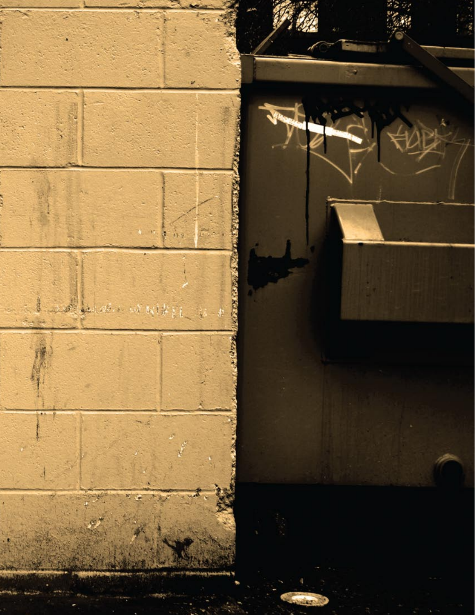